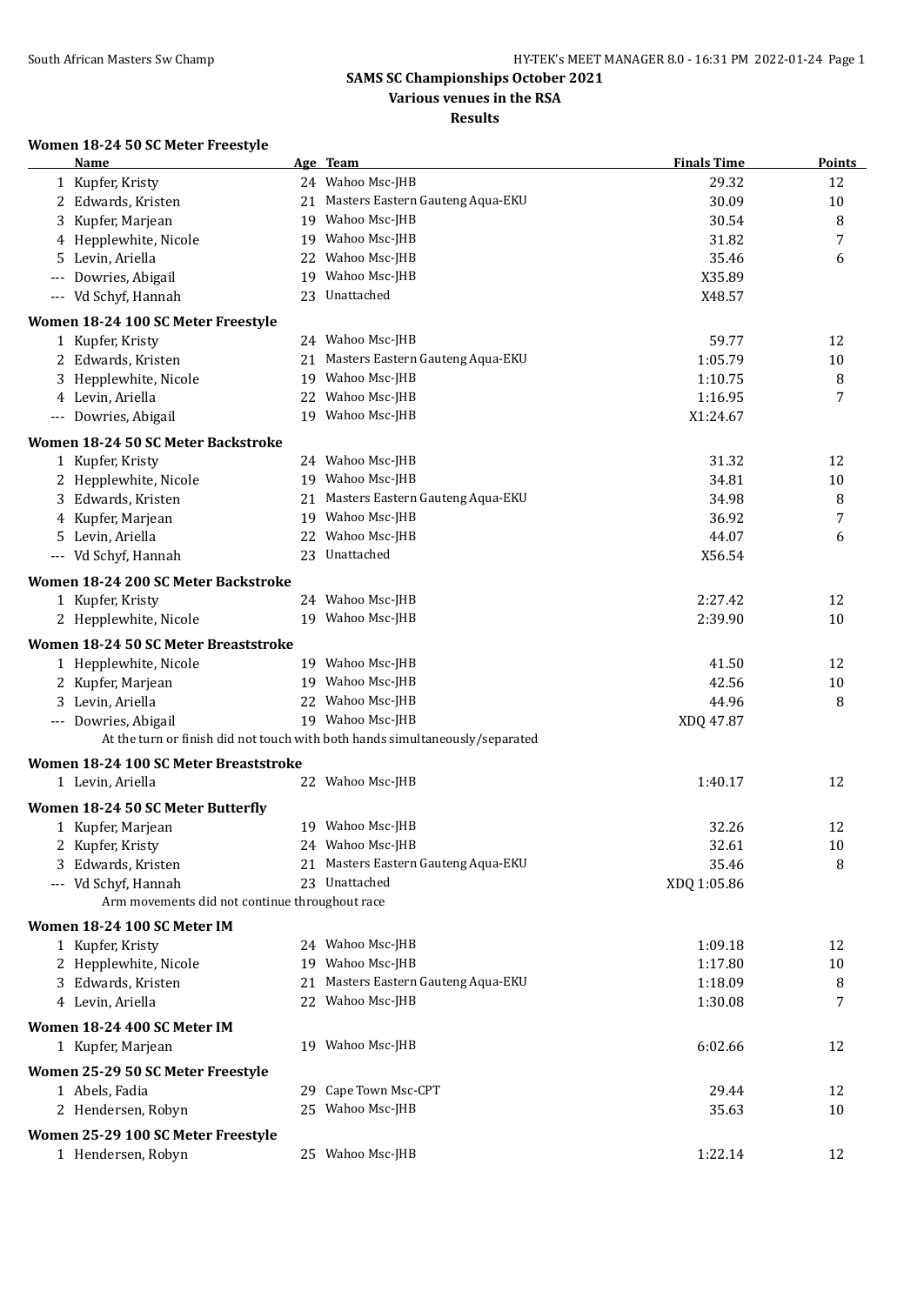## **Various venues in the RSA**

**Results**

#### **Women 18-24 50 SC Meter Freestyle**

| Name                                           |    | Age Team                                                                     | <b>Finals Time</b> | <b>Points</b> |
|------------------------------------------------|----|------------------------------------------------------------------------------|--------------------|---------------|
| 1 Kupfer, Kristy                               |    | 24 Wahoo Msc-JHB                                                             | 29.32              | 12            |
| 2 Edwards, Kristen                             | 21 | Masters Eastern Gauteng Aqua-EKU                                             | 30.09              | 10            |
| 3 Kupfer, Marjean                              | 19 | Wahoo Msc-JHB                                                                | 30.54              | 8             |
| 4 Hepplewhite, Nicole                          | 19 | Wahoo Msc-JHB                                                                | 31.82              | 7             |
| Levin, Ariella                                 | 22 | Wahoo Msc-JHB                                                                | 35.46              | 6             |
| Dowries, Abigail<br>$---$                      | 19 | Wahoo Msc-JHB                                                                | X35.89             |               |
| --- Vd Schyf, Hannah                           |    | 23 Unattached                                                                | X48.57             |               |
| Women 18-24 100 SC Meter Freestyle             |    |                                                                              |                    |               |
| 1 Kupfer, Kristy                               |    | 24 Wahoo Msc-JHB                                                             | 59.77              | 12            |
| 2 Edwards, Kristen                             | 21 | Masters Eastern Gauteng Aqua-EKU                                             | 1:05.79            | 10            |
| 3 Hepplewhite, Nicole                          | 19 | Wahoo Msc-JHB                                                                | 1:10.75            | 8             |
| 4 Levin, Ariella                               |    | 22 Wahoo Msc-JHB                                                             | 1:16.95            | 7             |
| --- Dowries, Abigail                           |    | 19 Wahoo Msc-JHB                                                             | X1:24.67           |               |
| Women 18-24 50 SC Meter Backstroke             |    |                                                                              |                    |               |
| 1 Kupfer, Kristy                               |    | 24 Wahoo Msc-JHB                                                             | 31.32              | 12            |
| 2 Hepplewhite, Nicole                          |    | 19 Wahoo Msc-JHB                                                             | 34.81              | 10            |
| 3 Edwards, Kristen                             | 21 | Masters Eastern Gauteng Aqua-EKU                                             | 34.98              | 8             |
| 4 Kupfer, Marjean                              | 19 | Wahoo Msc-JHB                                                                | 36.92              | 7             |
| 5 Levin, Ariella                               | 22 | Wahoo Msc-JHB                                                                | 44.07              | 6             |
| --- Vd Schyf, Hannah                           |    | 23 Unattached                                                                | X56.54             |               |
| Women 18-24 200 SC Meter Backstroke            |    |                                                                              |                    |               |
| 1 Kupfer, Kristy                               |    | 24 Wahoo Msc-JHB                                                             | 2:27.42            | 12            |
| 2 Hepplewhite, Nicole                          |    | 19 Wahoo Msc-JHB                                                             | 2:39.90            | 10            |
| Women 18-24 50 SC Meter Breaststroke           |    |                                                                              |                    |               |
| 1 Hepplewhite, Nicole                          |    | 19 Wahoo Msc-JHB                                                             | 41.50              | 12            |
| 2 Kupfer, Marjean                              |    | 19 Wahoo Msc-JHB                                                             | 42.56              | 10            |
| 3 Levin, Ariella                               |    | 22 Wahoo Msc-JHB                                                             | 44.96              | 8             |
| --- Dowries, Abigail                           |    | 19 Wahoo Msc-JHB                                                             | XDQ 47.87          |               |
|                                                |    | At the turn or finish did not touch with both hands simultaneously/separated |                    |               |
| Women 18-24 100 SC Meter Breaststroke          |    |                                                                              |                    |               |
| 1 Levin, Ariella                               |    | 22 Wahoo Msc-JHB                                                             | 1:40.17            | 12            |
| Women 18-24 50 SC Meter Butterfly              |    |                                                                              |                    |               |
| 1 Kupfer, Marjean                              |    | 19 Wahoo Msc-JHB                                                             | 32.26              | 12            |
| 2 Kupfer, Kristy                               |    | 24 Wahoo Msc-JHB                                                             | 32.61              | 10            |
| 3 Edwards, Kristen                             |    | 21 Masters Eastern Gauteng Aqua-EKU                                          | 35.46              | 8             |
| --- Vd Schyf, Hannah                           |    | 23 Unattached                                                                | XDQ 1:05.86        |               |
| Arm movements did not continue throughout race |    |                                                                              |                    |               |
| Women 18-24 100 SC Meter IM                    |    |                                                                              |                    |               |
| 1 Kupfer, Kristy                               |    | 24 Wahoo Msc-JHB                                                             | 1:09.18            | 12            |
| 2 Hepplewhite, Nicole                          |    | 19 Wahoo Msc-JHB                                                             | 1:17.80            | 10            |
| 3 Edwards, Kristen                             |    | 21 Masters Eastern Gauteng Aqua-EKU                                          | 1:18.09            | 8             |
| 4 Levin, Ariella                               |    | 22 Wahoo Msc-JHB                                                             | 1:30.08            | 7             |
| Women 18-24 400 SC Meter IM                    |    |                                                                              |                    |               |
| 1 Kupfer, Marjean                              |    | 19 Wahoo Msc-JHB                                                             | 6:02.66            | 12            |
| Women 25-29 50 SC Meter Freestyle              |    |                                                                              |                    |               |
| 1 Abels, Fadia                                 |    | 29 Cape Town Msc-CPT                                                         | 29.44              | 12            |
| 2 Hendersen, Robyn                             |    | 25 Wahoo Msc-JHB                                                             | 35.63              | 10            |
| Women 25-29 100 SC Meter Freestyle             |    |                                                                              |                    |               |
| 1 Hendersen, Robyn                             |    | 25 Wahoo Msc-JHB                                                             | 1:22.14            | 12            |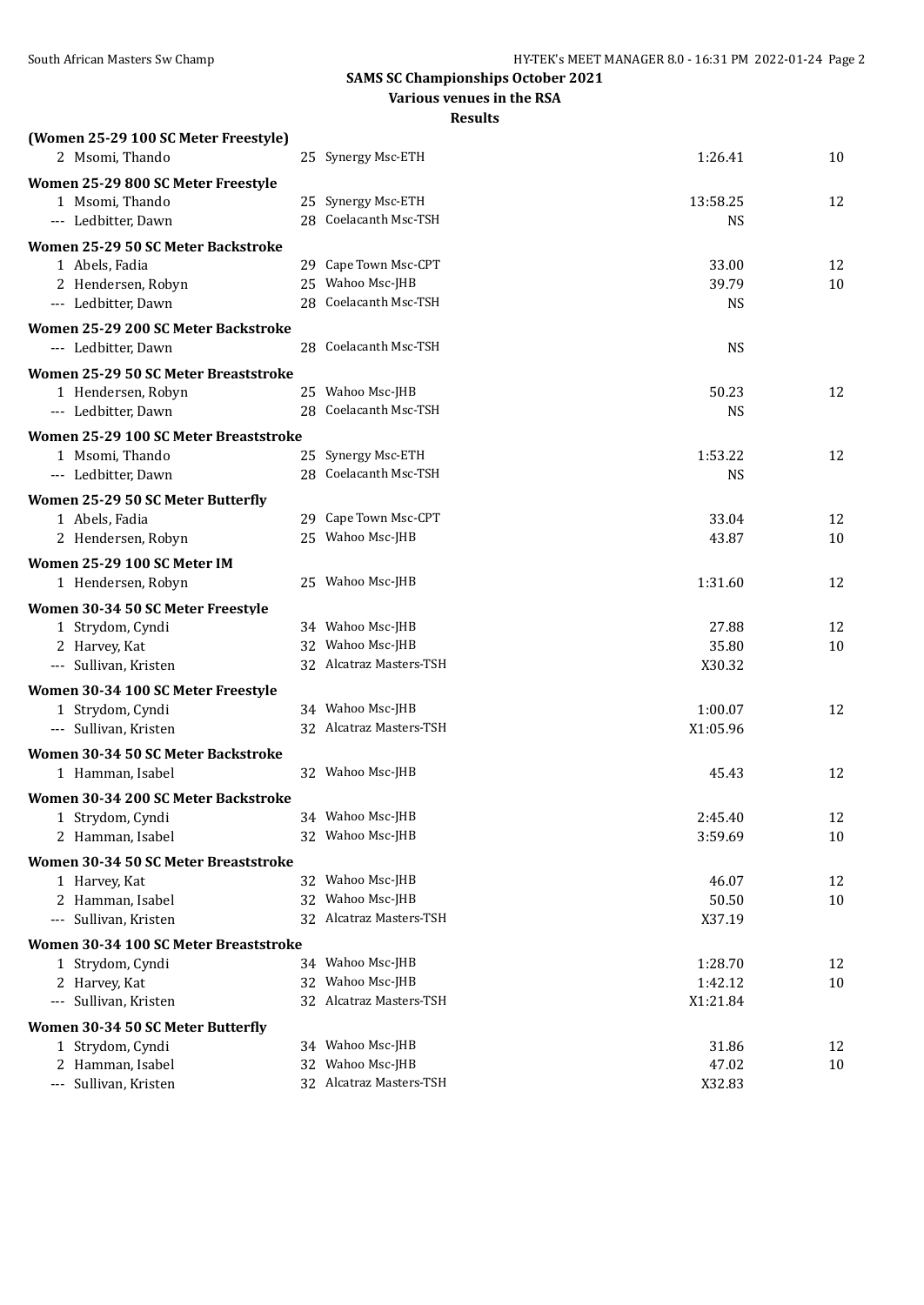**Various venues in the RSA**

| (Women 25-29 100 SC Meter Freestyle)  |                                          |                |          |
|---------------------------------------|------------------------------------------|----------------|----------|
| 2 Msomi, Thando                       | 25 Synergy Msc-ETH                       | 1:26.41        | 10       |
| Women 25-29 800 SC Meter Freestyle    |                                          |                |          |
| 1 Msomi, Thando                       | 25 Synergy Msc-ETH                       | 13:58.25       | 12       |
| --- Ledbitter, Dawn                   | 28 Coelacanth Msc-TSH                    | <b>NS</b>      |          |
| Women 25-29 50 SC Meter Backstroke    |                                          |                |          |
| 1 Abels, Fadia                        | 29 Cape Town Msc-CPT                     | 33.00          | 12       |
| 2 Hendersen, Robyn                    | 25 Wahoo Msc-JHB                         | 39.79          | 10       |
| --- Ledbitter, Dawn                   | 28 Coelacanth Msc-TSH                    | <b>NS</b>      |          |
| Women 25-29 200 SC Meter Backstroke   |                                          |                |          |
| --- Ledbitter, Dawn                   | 28 Coelacanth Msc-TSH                    | <b>NS</b>      |          |
| Women 25-29 50 SC Meter Breaststroke  |                                          |                |          |
| 1 Hendersen, Robyn                    | 25 Wahoo Msc-JHB                         | 50.23          | 12       |
| --- Ledbitter, Dawn                   | 28 Coelacanth Msc-TSH                    | <b>NS</b>      |          |
| Women 25-29 100 SC Meter Breaststroke |                                          |                |          |
| 1 Msomi, Thando                       | 25 Synergy Msc-ETH                       | 1:53.22        | 12       |
| --- Ledbitter, Dawn                   | 28 Coelacanth Msc-TSH                    | <b>NS</b>      |          |
|                                       |                                          |                |          |
| Women 25-29 50 SC Meter Butterfly     |                                          |                |          |
| 1 Abels, Fadia                        | 29 Cape Town Msc-CPT<br>25 Wahoo Msc-JHB | 33.04<br>43.87 | 12<br>10 |
| 2 Hendersen, Robyn                    |                                          |                |          |
| Women 25-29 100 SC Meter IM           |                                          |                |          |
| 1 Hendersen, Robyn                    | 25 Wahoo Msc-JHB                         | 1:31.60        | 12       |
| Women 30-34 50 SC Meter Freestyle     |                                          |                |          |
| 1 Strydom, Cyndi                      | 34 Wahoo Msc-JHB                         | 27.88          | 12       |
| 2 Harvey, Kat                         | 32 Wahoo Msc-JHB                         | 35.80          | 10       |
| --- Sullivan, Kristen                 | 32 Alcatraz Masters-TSH                  | X30.32         |          |
| Women 30-34 100 SC Meter Freestyle    |                                          |                |          |
| 1 Strydom, Cyndi                      | 34 Wahoo Msc-JHB                         | 1:00.07        | 12       |
| --- Sullivan, Kristen                 | 32 Alcatraz Masters-TSH                  | X1:05.96       |          |
| Women 30-34 50 SC Meter Backstroke    |                                          |                |          |
| 1 Hamman, Isabel                      | 32 Wahoo Msc-JHB                         | 45.43          | 12       |
| Women 30-34 200 SC Meter Backstroke   |                                          |                |          |
| 1 Strydom, Cyndi                      | 34 Wahoo Msc-JHB                         | 2:45.40        | 12       |
| 2 Hamman, Isabel                      | 32 Wahoo Msc-JHB                         | 3:59.69        | 10       |
| Women 30-34 50 SC Meter Breaststroke  |                                          |                |          |
| 1 Harvey, Kat                         | 32 Wahoo Msc-JHB                         | 46.07          | 12       |
| 2 Hamman, Isabel                      | 32 Wahoo Msc-JHB                         | 50.50          | 10       |
| --- Sullivan, Kristen                 | 32 Alcatraz Masters-TSH                  | X37.19         |          |
| Women 30-34 100 SC Meter Breaststroke |                                          |                |          |
| 1 Strydom, Cyndi                      | 34 Wahoo Msc-JHB                         | 1:28.70        | 12       |
| 2 Harvey, Kat                         | 32 Wahoo Msc-JHB                         | 1:42.12        | 10       |
| --- Sullivan, Kristen                 | 32 Alcatraz Masters-TSH                  | X1:21.84       |          |
| Women 30-34 50 SC Meter Butterfly     |                                          |                |          |
| 1 Strydom, Cyndi                      | 34 Wahoo Msc-JHB                         | 31.86          | 12       |
| 2 Hamman, Isabel                      | 32 Wahoo Msc-JHB                         | 47.02          | 10       |
| --- Sullivan, Kristen                 | 32 Alcatraz Masters-TSH                  | X32.83         |          |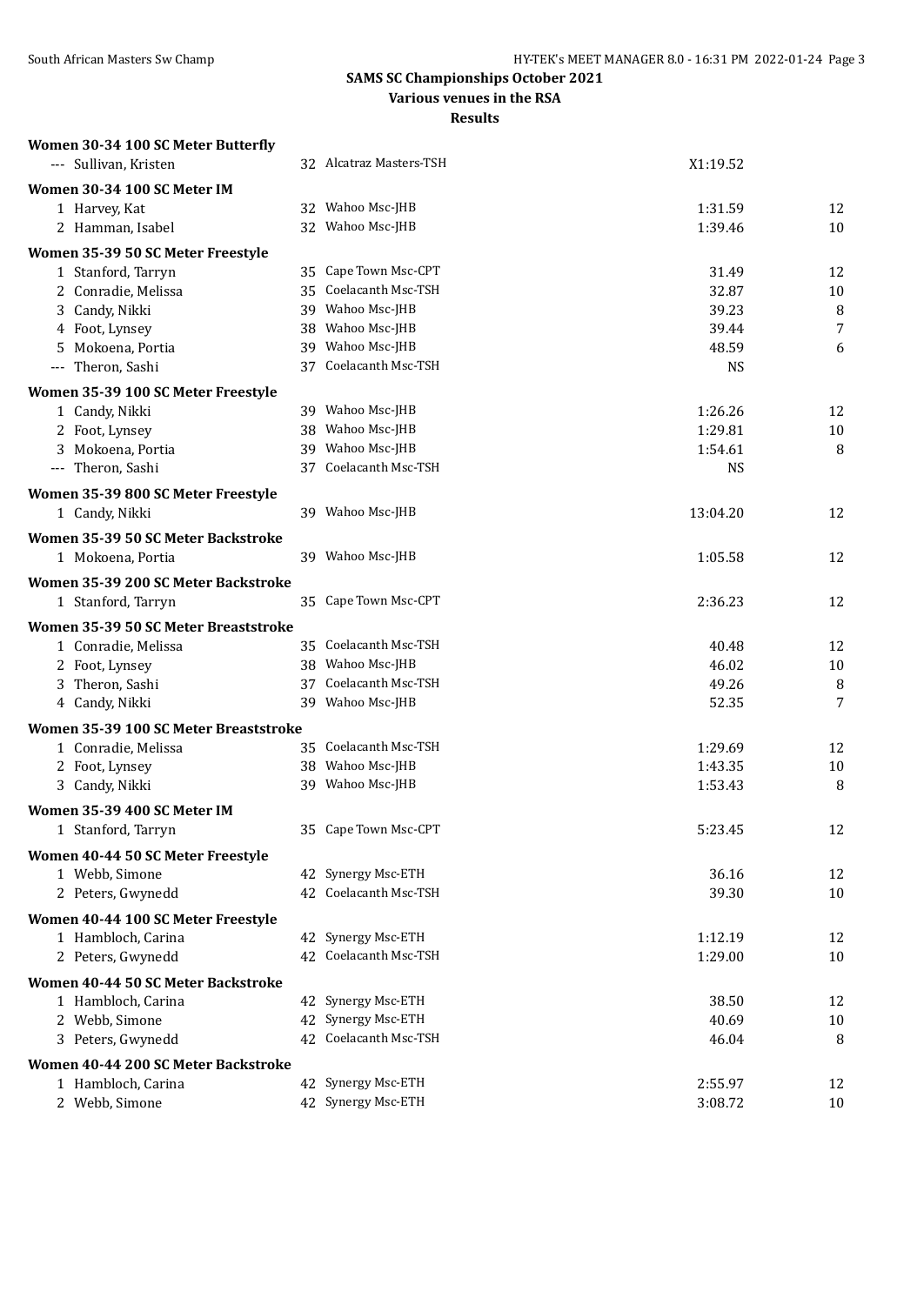#### **Various venues in the RSA**

| Women 30-34 100 SC Meter Butterfly    |                         |                    |          |
|---------------------------------------|-------------------------|--------------------|----------|
| --- Sullivan, Kristen                 | 32 Alcatraz Masters-TSH | X1:19.52           |          |
| Women 30-34 100 SC Meter IM           |                         |                    |          |
| 1 Harvey, Kat                         | 32 Wahoo Msc-JHB        | 1:31.59            | 12       |
| 2 Hamman, Isabel                      | 32 Wahoo Msc-JHB        | 1:39.46            | 10       |
| Women 35-39 50 SC Meter Freestyle     |                         |                    |          |
| 1 Stanford, Tarryn                    | 35 Cape Town Msc-CPT    | 31.49              | 12       |
| 2 Conradie, Melissa                   | 35 Coelacanth Msc-TSH   | 32.87              | 10       |
| 3 Candy, Nikki                        | 39 Wahoo Msc-JHB        | 39.23              | 8        |
| 4 Foot, Lynsey                        | 38 Wahoo Msc-JHB        | 39.44              | 7        |
| 5 Mokoena, Portia                     | 39 Wahoo Msc-JHB        | 48.59              | 6        |
| --- Theron, Sashi                     | 37 Coelacanth Msc-TSH   | <b>NS</b>          |          |
|                                       |                         |                    |          |
| Women 35-39 100 SC Meter Freestyle    | 39 Wahoo Msc-JHB        |                    |          |
| 1 Candy, Nikki<br>2 Foot, Lynsey      | 38 Wahoo Msc-JHB        | 1:26.26<br>1:29.81 | 12<br>10 |
| 3 Mokoena, Portia                     | 39 Wahoo Msc-JHB        | 1:54.61            | 8        |
| --- Theron, Sashi                     | 37 Coelacanth Msc-TSH   | <b>NS</b>          |          |
|                                       |                         |                    |          |
| Women 35-39 800 SC Meter Freestyle    |                         |                    |          |
| 1 Candy, Nikki                        | 39 Wahoo Msc-JHB        | 13:04.20           | 12       |
| Women 35-39 50 SC Meter Backstroke    |                         |                    |          |
| 1 Mokoena, Portia                     | 39 Wahoo Msc-JHB        | 1:05.58            | 12       |
| Women 35-39 200 SC Meter Backstroke   |                         |                    |          |
| 1 Stanford, Tarryn                    | 35 Cape Town Msc-CPT    | 2:36.23            | 12       |
| Women 35-39 50 SC Meter Breaststroke  |                         |                    |          |
| 1 Conradie, Melissa                   | 35 Coelacanth Msc-TSH   | 40.48              | 12       |
| 2 Foot, Lynsey                        | 38 Wahoo Msc-JHB        | 46.02              | 10       |
| 3 Theron, Sashi                       | 37 Coelacanth Msc-TSH   | 49.26              | 8        |
| 4 Candy, Nikki                        | 39 Wahoo Msc-JHB        | 52.35              | 7        |
|                                       |                         |                    |          |
| Women 35-39 100 SC Meter Breaststroke |                         |                    |          |
| 1 Conradie, Melissa                   | 35 Coelacanth Msc-TSH   | 1:29.69            | 12       |
| 2 Foot, Lynsey                        | 38 Wahoo Msc-JHB        | 1:43.35            | 10       |
| 3 Candy, Nikki                        | 39 Wahoo Msc-JHB        | 1:53.43            | 8        |
| Women 35-39 400 SC Meter IM           |                         |                    |          |
| 1 Stanford, Tarryn                    | 35 Cape Town Msc-CPT    | 5:23.45            | 12       |
| Women 40-44 50 SC Meter Freestyle     |                         |                    |          |
| 1 Webb, Simone                        | 42 Synergy Msc-ETH      | 36.16              | 12       |
| 2 Peters, Gwynedd                     | 42 Coelacanth Msc-TSH   | 39.30              | 10       |
| Women 40-44 100 SC Meter Freestyle    |                         |                    |          |
| 1 Hambloch, Carina                    | 42 Synergy Msc-ETH      | 1:12.19            | 12       |
| 2 Peters, Gwynedd                     | 42 Coelacanth Msc-TSH   | 1:29.00            | 10       |
|                                       |                         |                    |          |
| Women 40-44 50 SC Meter Backstroke    |                         |                    |          |
| 1 Hambloch, Carina                    | 42 Synergy Msc-ETH      | 38.50              | 12       |
| 2 Webb, Simone                        | 42 Synergy Msc-ETH      | 40.69              | 10       |
| 3 Peters, Gwynedd                     | 42 Coelacanth Msc-TSH   | 46.04              | 8        |
| Women 40-44 200 SC Meter Backstroke   |                         |                    |          |
| 1 Hambloch, Carina                    | 42 Synergy Msc-ETH      | 2:55.97            | 12       |
| 2 Webb, Simone                        | 42 Synergy Msc-ETH      | 3:08.72            | 10       |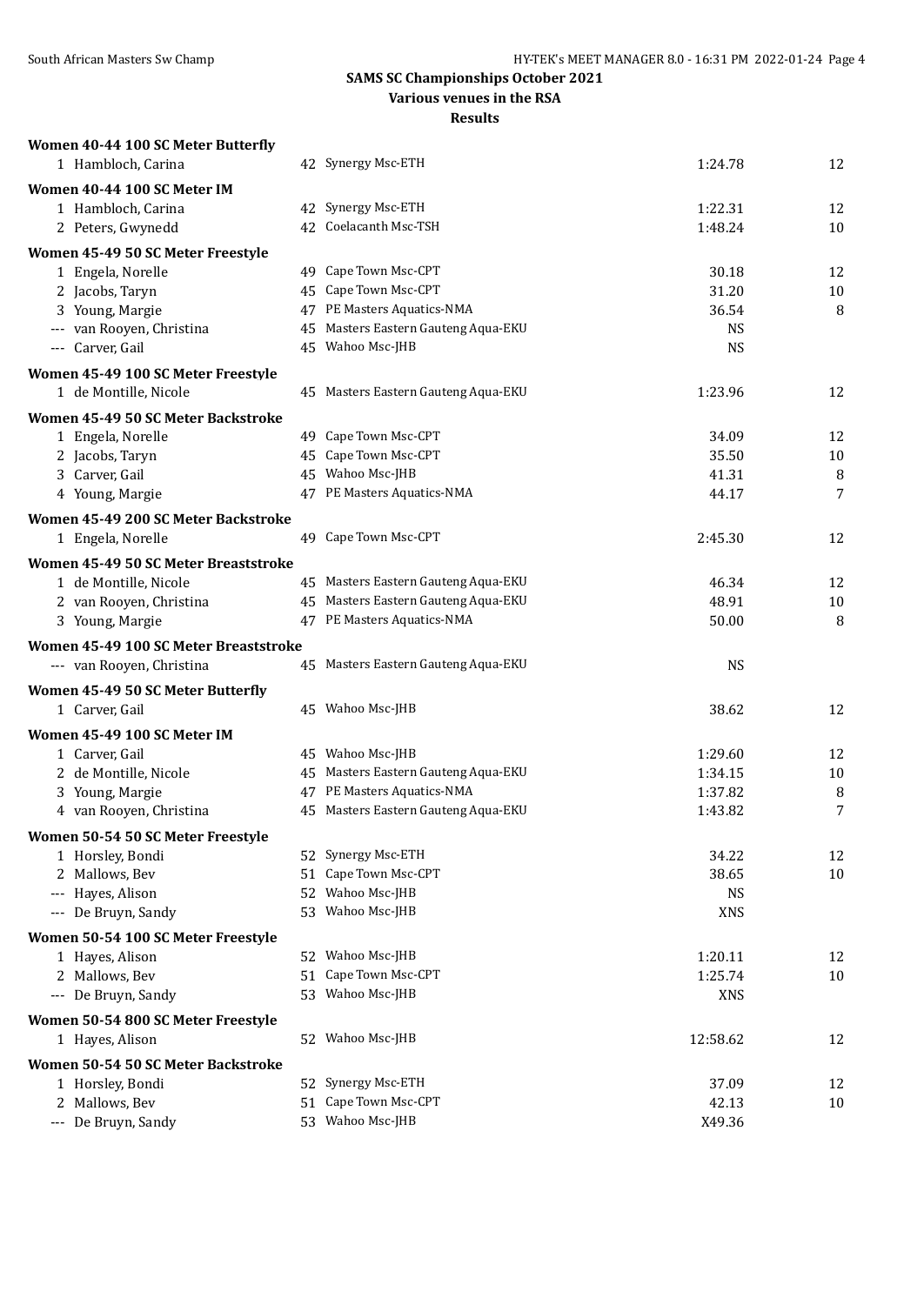#### **Various venues in the RSA**

| Women 40-44 100 SC Meter Butterfly       |          |                                         |                         |        |
|------------------------------------------|----------|-----------------------------------------|-------------------------|--------|
| 1 Hambloch, Carina                       |          | 42 Synergy Msc-ETH                      | 1:24.78                 | 12     |
| Women 40-44 100 SC Meter IM              |          |                                         |                         |        |
| 1 Hambloch, Carina                       |          | 42 Synergy Msc-ETH                      | 1:22.31                 | 12     |
| 2 Peters, Gwynedd                        |          | 42 Coelacanth Msc-TSH                   | 1:48.24                 | 10     |
| Women 45-49 50 SC Meter Freestyle        |          |                                         |                         |        |
| 1 Engela, Norelle                        |          | 49 Cape Town Msc-CPT                    | 30.18                   | 12     |
| 2 Jacobs, Taryn                          |          | 45 Cape Town Msc-CPT                    | 31.20                   | $10\,$ |
| 3 Young, Margie                          |          | 47 PE Masters Aquatics-NMA              | 36.54                   | 8      |
| --- van Rooyen, Christina                |          | 45 Masters Eastern Gauteng Aqua-EKU     | <b>NS</b>               |        |
| --- Carver, Gail                         |          | 45 Wahoo Msc-JHB                        | <b>NS</b>               |        |
| Women 45-49 100 SC Meter Freestyle       |          |                                         |                         |        |
| 1 de Montille, Nicole                    |          | 45 Masters Eastern Gauteng Aqua-EKU     | 1:23.96                 | 12     |
|                                          |          |                                         |                         |        |
| Women 45-49 50 SC Meter Backstroke       |          | 49 Cape Town Msc-CPT                    | 34.09                   | 12     |
| 1 Engela, Norelle<br>2 Jacobs, Taryn     |          | 45 Cape Town Msc-CPT                    | 35.50                   | 10     |
| 3 Carver, Gail                           |          | 45 Wahoo Msc-JHB                        | 41.31                   | 8      |
| 4 Young, Margie                          |          | 47 PE Masters Aquatics-NMA              | 44.17                   | 7      |
|                                          |          |                                         |                         |        |
| Women 45-49 200 SC Meter Backstroke      |          |                                         |                         |        |
| 1 Engela, Norelle                        |          | 49 Cape Town Msc-CPT                    | 2:45.30                 | 12     |
| Women 45-49 50 SC Meter Breaststroke     |          |                                         |                         |        |
| 1 de Montille, Nicole                    |          | 45 Masters Eastern Gauteng Aqua-EKU     | 46.34                   | 12     |
| 2 van Rooyen, Christina                  |          | 45 Masters Eastern Gauteng Aqua-EKU     | 48.91                   | $10\,$ |
| 3 Young, Margie                          |          | 47 PE Masters Aquatics-NMA              | 50.00                   | 8      |
| Women 45-49 100 SC Meter Breaststroke    |          |                                         |                         |        |
| --- van Rooyen, Christina                |          | 45 Masters Eastern Gauteng Aqua-EKU     | <b>NS</b>               |        |
| Women 45-49 50 SC Meter Butterfly        |          |                                         |                         |        |
| 1 Carver, Gail                           |          | 45 Wahoo Msc-JHB                        | 38.62                   | 12     |
| Women 45-49 100 SC Meter IM              |          |                                         |                         |        |
| 1 Carver, Gail                           |          | 45 Wahoo Msc-JHB                        | 1:29.60                 | 12     |
| 2 de Montille, Nicole                    |          | 45 Masters Eastern Gauteng Aqua-EKU     | 1:34.15                 | 10     |
| 3 Young, Margie                          |          | 47 PE Masters Aquatics-NMA              | 1:37.82                 | 8      |
| 4 van Rooyen, Christina                  |          | 45 Masters Eastern Gauteng Aqua-EKU     | 1:43.82                 | 7      |
|                                          |          |                                         |                         |        |
| Women 50-54 50 SC Meter Freestyle        |          |                                         |                         |        |
| 1 Horsley, Bondi                         |          | 52 Synergy Msc-ETH<br>Cape Town Msc-CPT | 34.22                   | 12     |
| 2 Mallows, Bev                           | 51       | Wahoo Msc-JHB                           | 38.65                   | 10     |
| --- Hayes, Alison<br>--- De Bruyn, Sandy | 52<br>53 | Wahoo Msc-JHB                           | <b>NS</b><br><b>XNS</b> |        |
|                                          |          |                                         |                         |        |
| Women 50-54 100 SC Meter Freestyle       |          |                                         |                         |        |
| 1 Hayes, Alison                          |          | 52 Wahoo Msc-JHB                        | 1:20.11                 | 12     |
| 2 Mallows, Bev                           | 51       | Cape Town Msc-CPT                       | 1:25.74                 | 10     |
| --- De Bruyn, Sandy                      | 53       | Wahoo Msc-JHB                           | <b>XNS</b>              |        |
| Women 50-54 800 SC Meter Freestyle       |          |                                         |                         |        |
| 1 Hayes, Alison                          |          | 52 Wahoo Msc-JHB                        | 12:58.62                | 12     |
| Women 50-54 50 SC Meter Backstroke       |          |                                         |                         |        |
| 1 Horsley, Bondi                         | 52       | Synergy Msc-ETH                         | 37.09                   | 12     |
| 2 Mallows, Bev                           | 51       | Cape Town Msc-CPT                       | 42.13                   | 10     |
| --- De Bruyn, Sandy                      |          | 53 Wahoo Msc-JHB                        | X49.36                  |        |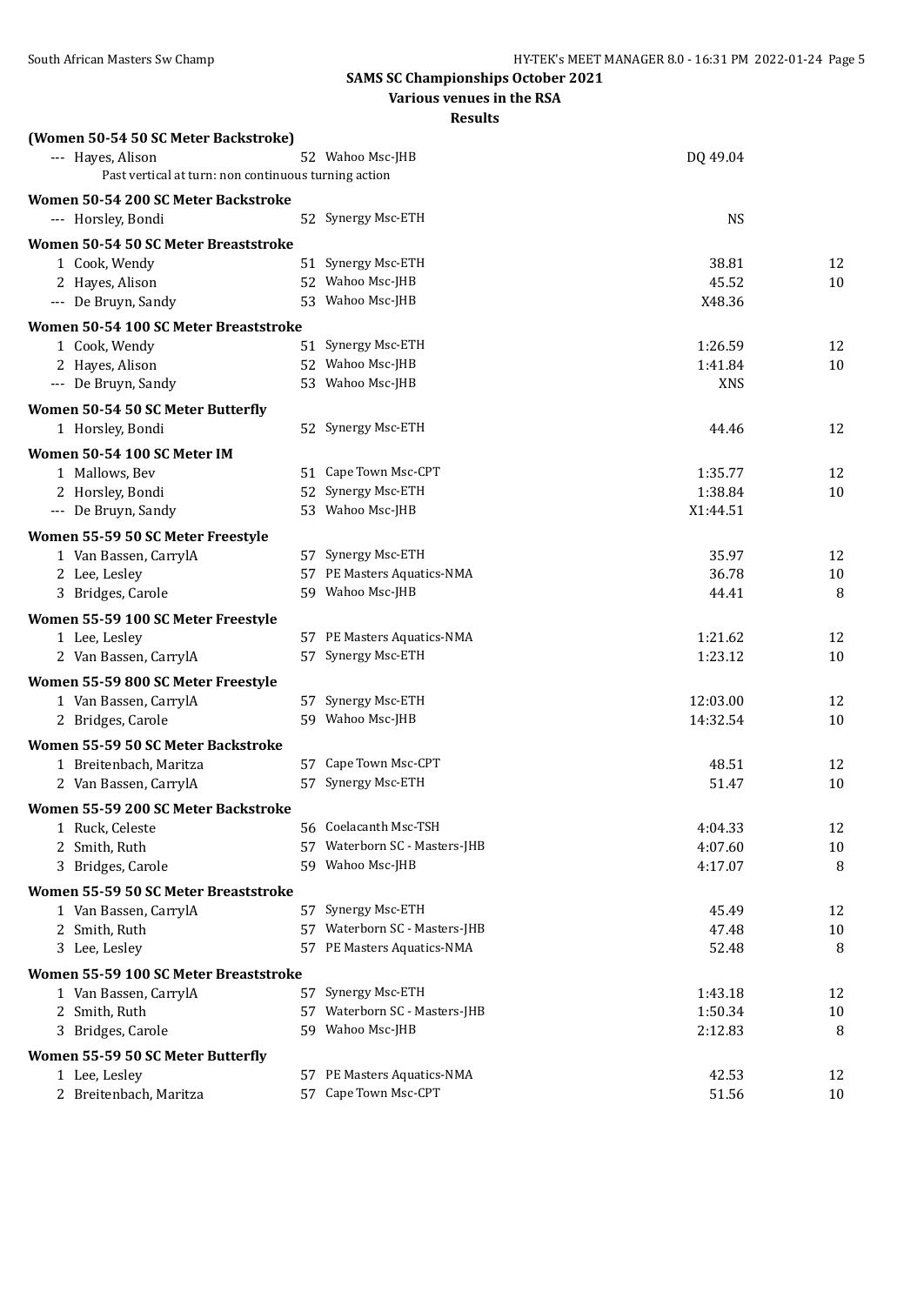|                                                      | Various venues in the RSA                  |            |    |
|------------------------------------------------------|--------------------------------------------|------------|----|
|                                                      | <b>Results</b>                             |            |    |
| (Women 50-54 50 SC Meter Backstroke)                 |                                            |            |    |
| --- Hayes, Alison                                    | 52 Wahoo Msc-JHB                           | DQ 49.04   |    |
| Past vertical at turn: non continuous turning action |                                            |            |    |
| Women 50-54 200 SC Meter Backstroke                  |                                            |            |    |
| --- Horsley, Bondi                                   | 52 Synergy Msc-ETH                         | <b>NS</b>  |    |
|                                                      |                                            |            |    |
| Women 50-54 50 SC Meter Breaststroke                 |                                            |            |    |
| 1 Cook, Wendy                                        | 51 Synergy Msc-ETH                         | 38.81      | 12 |
| 2 Hayes, Alison                                      | 52 Wahoo Msc-JHB                           | 45.52      | 10 |
| --- De Bruyn, Sandy                                  | 53 Wahoo Msc-JHB                           | X48.36     |    |
| Women 50-54 100 SC Meter Breaststroke                |                                            |            |    |
| 1 Cook, Wendy                                        | 51 Synergy Msc-ETH                         | 1:26.59    | 12 |
| 2 Hayes, Alison                                      | 52 Wahoo Msc-JHB                           | 1:41.84    | 10 |
| --- De Bruyn, Sandy                                  | 53 Wahoo Msc-JHB                           | <b>XNS</b> |    |
| Women 50-54 50 SC Meter Butterfly                    |                                            |            |    |
| 1 Horsley, Bondi                                     | 52 Synergy Msc-ETH                         | 44.46      | 12 |
|                                                      |                                            |            |    |
| Women 50-54 100 SC Meter IM                          |                                            |            |    |
| 1 Mallows, Bev                                       | 51 Cape Town Msc-CPT<br>52 Synergy Msc-ETH | 1:35.77    | 12 |
| 2 Horsley, Bondi                                     | 53 Wahoo Msc-JHB                           | 1:38.84    | 10 |
| --- De Bruyn, Sandy                                  |                                            | X1:44.51   |    |
| Women 55-59 50 SC Meter Freestyle                    |                                            |            |    |
| 1 Van Bassen, CarrylA                                | 57 Synergy Msc-ETH                         | 35.97      | 12 |
| 2 Lee, Lesley                                        | 57 PE Masters Aquatics-NMA                 | 36.78      | 10 |
| 3 Bridges, Carole                                    | 59 Wahoo Msc-JHB                           | 44.41      | 8  |
| Women 55-59 100 SC Meter Freestyle                   |                                            |            |    |
| 1 Lee, Lesley                                        | 57 PE Masters Aquatics-NMA                 | 1:21.62    | 12 |
| 2 Van Bassen, CarrylA                                | 57 Synergy Msc-ETH                         | 1:23.12    | 10 |
| Women 55-59 800 SC Meter Freestyle                   |                                            |            |    |
| 1 Van Bassen, CarrylA                                | 57 Synergy Msc-ETH                         | 12:03.00   | 12 |
| 2 Bridges, Carole                                    | 59 Wahoo Msc-JHB                           | 14:32.54   | 10 |
|                                                      |                                            |            |    |
| Women 55-59 50 SC Meter Backstroke                   |                                            |            |    |
| 1 Breitenbach, Maritza                               | 57 Cape Town Msc-CPT                       | 48.51      | 12 |
| 2 Van Bassen, CarrylA                                | 57 Synergy Msc-ETH                         | 51.47      | 10 |
| Women 55-59 200 SC Meter Backstroke                  |                                            |            |    |
| 1 Ruck, Celeste                                      | 56 Coelacanth Msc-TSH                      | 4:04.33    | 12 |
| 2 Smith, Ruth                                        | 57 Waterborn SC - Masters-JHB              | 4:07.60    | 10 |
| 3 Bridges, Carole                                    | 59 Wahoo Msc-JHB                           | 4:17.07    | 8  |
| Women 55-59 50 SC Meter Breaststroke                 |                                            |            |    |
| 1 Van Bassen, CarrylA                                | 57 Synergy Msc-ETH                         | 45.49      | 12 |
| 2 Smith, Ruth                                        | 57 Waterborn SC - Masters-JHB              | 47.48      | 10 |
| 3 Lee, Lesley                                        | 57 PE Masters Aquatics-NMA                 | 52.48      | 8  |
|                                                      |                                            |            |    |
| Women 55-59 100 SC Meter Breaststroke                |                                            |            |    |
| 1 Van Bassen, CarrylA                                | 57 Synergy Msc-ETH                         | 1:43.18    | 12 |
| 2 Smith, Ruth                                        | 57 Waterborn SC - Masters-JHB              | 1:50.34    | 10 |
| 3 Bridges, Carole                                    | 59 Wahoo Msc-JHB                           | 2:12.83    | 8  |
| Women 55-59 50 SC Meter Butterfly                    |                                            |            |    |
| 1 Lee, Lesley                                        | 57 PE Masters Aquatics-NMA                 | 42.53      | 12 |
| 2 Breitenbach, Maritza                               | 57 Cape Town Msc-CPT                       | 51.56      | 10 |
|                                                      |                                            |            |    |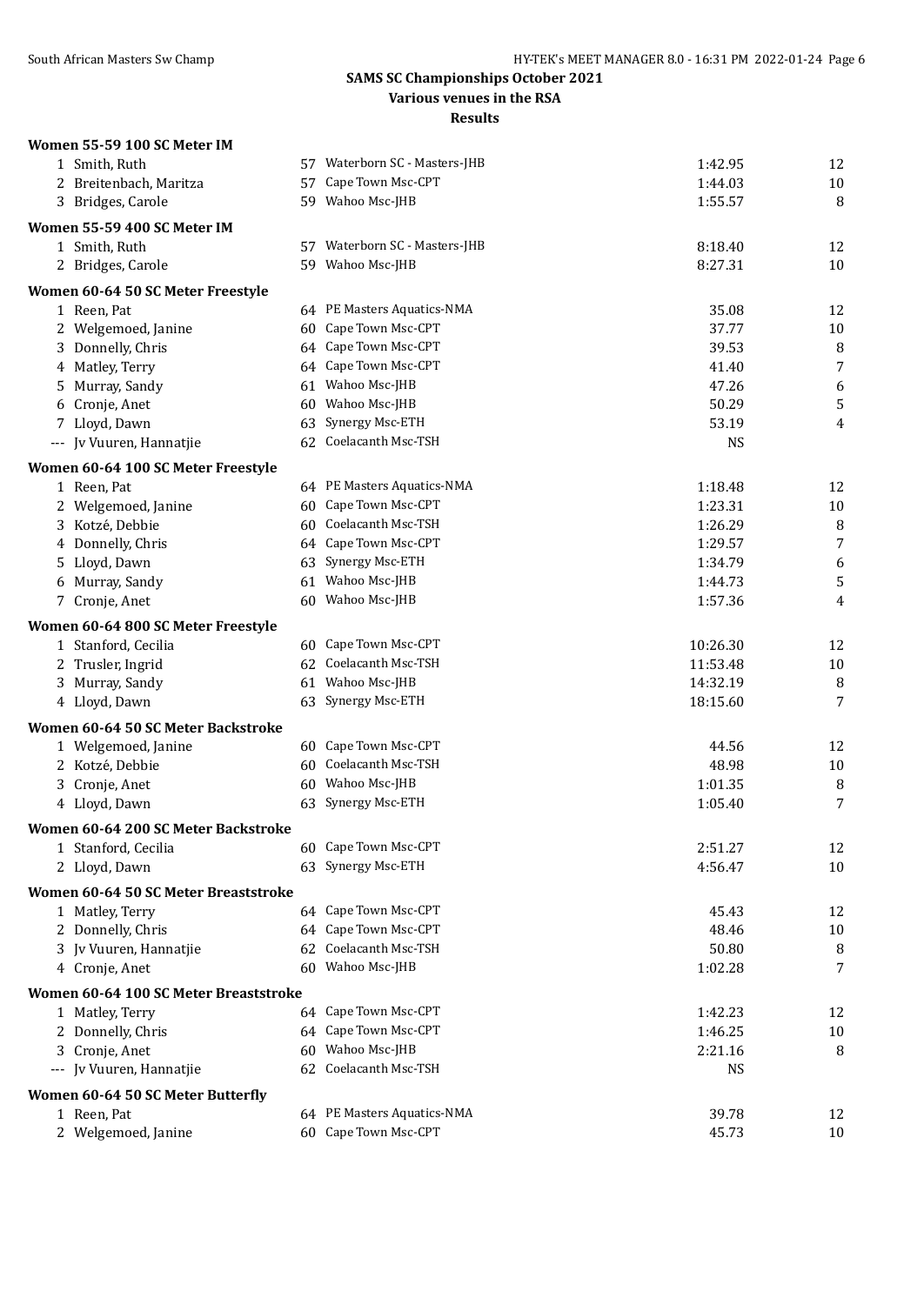#### **SAMS SC Championships October 2021 Various venues in the RSA**

| Women 55-59 100 SC Meter IM                      |    |                               |           |        |
|--------------------------------------------------|----|-------------------------------|-----------|--------|
| 1 Smith, Ruth                                    |    | 57 Waterborn SC - Masters-JHB | 1:42.95   | 12     |
| 2 Breitenbach, Maritza                           | 57 | Cape Town Msc-CPT             | 1:44.03   | 10     |
| 3 Bridges, Carole                                |    | 59 Wahoo Msc-JHB              | 1:55.57   | 8      |
| Women 55-59 400 SC Meter IM                      |    |                               |           |        |
| 1 Smith, Ruth                                    |    | 57 Waterborn SC - Masters-JHB | 8:18.40   | 12     |
| 2 Bridges, Carole                                |    | 59 Wahoo Msc-JHB              | 8:27.31   | 10     |
| Women 60-64 50 SC Meter Freestyle                |    |                               |           |        |
| 1 Reen, Pat                                      |    | 64 PE Masters Aquatics-NMA    | 35.08     | 12     |
| 2 Welgemoed, Janine                              |    | 60 Cape Town Msc-CPT          | 37.77     | $10\,$ |
| 3 Donnelly, Chris                                |    | 64 Cape Town Msc-CPT          | 39.53     | 8      |
| 4 Matley, Terry                                  |    | 64 Cape Town Msc-CPT          | 41.40     | 7      |
| Murray, Sandy<br>5.                              |    | 61 Wahoo Msc-JHB              | 47.26     | 6      |
| Cronje, Anet<br>6                                |    | 60 Wahoo Msc-JHB              | 50.29     | 5      |
| 7 Lloyd, Dawn                                    | 63 | Synergy Msc-ETH               | 53.19     | 4      |
| --- Jv Vuuren, Hannatjie                         |    | 62 Coelacanth Msc-TSH         | <b>NS</b> |        |
| Women 60-64 100 SC Meter Freestyle               |    |                               |           |        |
| 1 Reen, Pat                                      |    | 64 PE Masters Aquatics-NMA    | 1:18.48   | 12     |
| 2 Welgemoed, Janine                              |    | 60 Cape Town Msc-CPT          | 1:23.31   | $10\,$ |
| 3 Kotzé, Debbie                                  |    | 60 Coelacanth Msc-TSH         | 1:26.29   | 8      |
| 4 Donnelly, Chris                                |    | 64 Cape Town Msc-CPT          | 1:29.57   | 7      |
| 5 Lloyd, Dawn                                    |    | 63 Synergy Msc-ETH            | 1:34.79   | 6      |
| Murray, Sandy<br>6                               |    | 61 Wahoo Msc-JHB              | 1:44.73   | 5      |
| 7 Cronje, Anet                                   | 60 | Wahoo Msc-JHB                 | 1:57.36   | 4      |
| Women 60-64 800 SC Meter Freestyle               |    |                               |           |        |
| 1 Stanford, Cecilia                              |    | 60 Cape Town Msc-CPT          | 10:26.30  | 12     |
| 2 Trusler, Ingrid                                |    | 62 Coelacanth Msc-TSH         | 11:53.48  | $10\,$ |
| 3 Murray, Sandy                                  |    | 61 Wahoo Msc-JHB              | 14:32.19  | 8      |
| 4 Lloyd, Dawn                                    |    | 63 Synergy Msc-ETH            | 18:15.60  | 7      |
| Women 60-64 50 SC Meter Backstroke               |    |                               |           |        |
| 1 Welgemoed, Janine                              |    | 60 Cape Town Msc-CPT          | 44.56     | 12     |
| 2 Kotzé, Debbie                                  | 60 | Coelacanth Msc-TSH            | 48.98     | $10\,$ |
| 3 Cronje, Anet                                   | 60 | Wahoo Msc-JHB                 | 1:01.35   | 8      |
| 4 Lloyd, Dawn                                    |    | 63 Synergy Msc-ETH            | 1:05.40   | 7      |
| Women 60-64 200 SC Meter Backstroke              |    |                               |           |        |
| 1 Stanford, Cecilia                              |    | 60 Cape Town Msc-CPT          | 2:51.27   | 12     |
| 2 Lloyd, Dawn                                    |    | 63 Synergy Msc-ETH            | 4:56.47   | 10     |
| Women 60-64 50 SC Meter Breaststroke             |    |                               |           |        |
| 1 Matley, Terry                                  |    | 64 Cape Town Msc-CPT          | 45.43     | 12     |
| 2 Donnelly, Chris                                |    | 64 Cape Town Msc-CPT          | 48.46     | 10     |
| 3 Jv Vuuren, Hannatjie                           |    | 62 Coelacanth Msc-TSH         | 50.80     | 8      |
| 4 Cronje, Anet                                   |    | 60 Wahoo Msc-JHB              | 1:02.28   | 7      |
| Women 60-64 100 SC Meter Breaststroke            |    |                               |           |        |
| 1 Matley, Terry                                  |    | 64 Cape Town Msc-CPT          | 1:42.23   | 12     |
| 2 Donnelly, Chris                                |    | 64 Cape Town Msc-CPT          | 1:46.25   | $10\,$ |
| 3 Cronje, Anet                                   |    | 60 Wahoo Msc-JHB              | 2:21.16   | 8      |
| --- Jv Vuuren, Hannatjie                         |    | 62 Coelacanth Msc-TSH         | <b>NS</b> |        |
|                                                  |    |                               |           |        |
| Women 60-64 50 SC Meter Butterfly<br>1 Reen, Pat |    | 64 PE Masters Aquatics-NMA    | 39.78     | 12     |
| 2 Welgemoed, Janine                              |    | 60 Cape Town Msc-CPT          | 45.73     | 10     |
|                                                  |    |                               |           |        |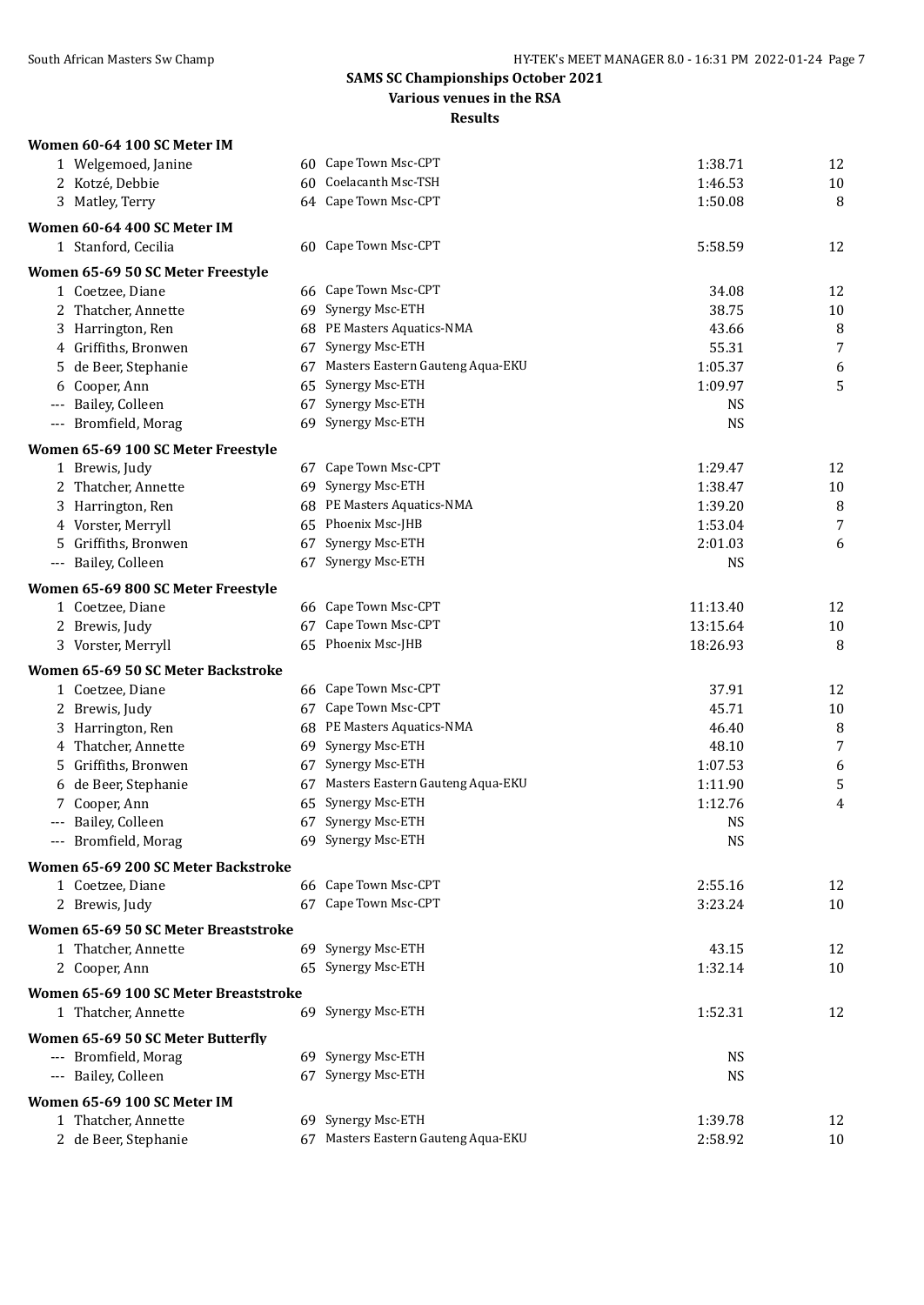**Various venues in the RSA**

| Women 60-64 100 SC Meter IM                            |    |                                              |           |    |
|--------------------------------------------------------|----|----------------------------------------------|-----------|----|
| 1 Welgemoed, Janine                                    |    | 60 Cape Town Msc-CPT                         | 1:38.71   | 12 |
| 2 Kotzé, Debbie                                        | 60 | Coelacanth Msc-TSH                           | 1:46.53   | 10 |
| 3 Matley, Terry                                        |    | 64 Cape Town Msc-CPT                         | 1:50.08   | 8  |
| Women 60-64 400 SC Meter IM                            |    |                                              |           |    |
| 1 Stanford, Cecilia                                    |    | 60 Cape Town Msc-CPT                         | 5:58.59   | 12 |
| Women 65-69 50 SC Meter Freestyle                      |    |                                              |           |    |
| 1 Coetzee, Diane                                       |    | 66 Cape Town Msc-CPT                         | 34.08     | 12 |
| 2 Thatcher, Annette                                    | 69 | Synergy Msc-ETH                              | 38.75     | 10 |
| 3 Harrington, Ren                                      |    | 68 PE Masters Aquatics-NMA                   | 43.66     | 8  |
| 4 Griffiths, Bronwen                                   | 67 | Synergy Msc-ETH                              | 55.31     | 7  |
| 5 de Beer, Stephanie                                   | 67 | Masters Eastern Gauteng Aqua-EKU             | 1:05.37   | 6  |
| 6 Cooper, Ann                                          | 65 | Synergy Msc-ETH                              | 1:09.97   | 5  |
| Bailey, Colleen                                        | 67 | Synergy Msc-ETH                              | <b>NS</b> |    |
| --- Bromfield, Morag                                   | 69 | Synergy Msc-ETH                              | <b>NS</b> |    |
| Women 65-69 100 SC Meter Freestyle                     |    |                                              |           |    |
| 1 Brewis, Judy                                         |    | 67 Cape Town Msc-CPT                         | 1:29.47   | 12 |
| 2 Thatcher, Annette                                    | 69 | Synergy Msc-ETH                              | 1:38.47   | 10 |
| 3 Harrington, Ren                                      |    | 68 PE Masters Aquatics-NMA                   | 1:39.20   | 8  |
| 4 Vorster, Merryll                                     |    | 65 Phoenix Msc-JHB                           | 1:53.04   | 7  |
| 5 Griffiths, Bronwen                                   | 67 | Synergy Msc-ETH                              | 2:01.03   | 6  |
| --- Bailey, Colleen                                    | 67 | Synergy Msc-ETH                              | <b>NS</b> |    |
| Women 65-69 800 SC Meter Freestyle                     |    |                                              |           |    |
| 1 Coetzee, Diane                                       |    | 66 Cape Town Msc-CPT                         | 11:13.40  | 12 |
| 2 Brewis, Judy                                         | 67 | Cape Town Msc-CPT                            | 13:15.64  | 10 |
| 3 Vorster, Merryll                                     |    | 65 Phoenix Msc-JHB                           | 18:26.93  | 8  |
|                                                        |    |                                              |           |    |
| Women 65-69 50 SC Meter Backstroke<br>1 Coetzee, Diane |    | 66 Cape Town Msc-CPT                         | 37.91     | 12 |
|                                                        | 67 | Cape Town Msc-CPT                            | 45.71     | 10 |
| 2 Brewis, Judy<br>3 Harrington, Ren                    |    | 68 PE Masters Aquatics-NMA                   | 46.40     | 8  |
| 4 Thatcher, Annette                                    |    | 69 Synergy Msc-ETH                           | 48.10     | 7  |
| Griffiths, Bronwen<br>5                                |    | 67 Synergy Msc-ETH                           | 1:07.53   | 6  |
| 6 de Beer, Stephanie                                   | 67 | Masters Eastern Gauteng Aqua-EKU             | 1:11.90   | 5  |
| 7 Cooper, Ann                                          | 65 | Synergy Msc-ETH                              | 1:12.76   | 4  |
| Bailey, Colleen<br>---                                 |    | 67 Synergy Msc-ETH                           | <b>NS</b> |    |
| --- Bromfield, Morag                                   |    | 69 Synergy Msc-ETH                           | <b>NS</b> |    |
|                                                        |    |                                              |           |    |
| Women 65-69 200 SC Meter Backstroke                    |    |                                              |           |    |
| 1 Coetzee, Diane                                       |    | 66 Cape Town Msc-CPT<br>67 Cape Town Msc-CPT | 2:55.16   | 12 |
| 2 Brewis, Judy                                         |    |                                              | 3:23.24   | 10 |
| Women 65-69 50 SC Meter Breaststroke                   |    |                                              |           |    |
| 1 Thatcher, Annette                                    |    | 69 Synergy Msc-ETH                           | 43.15     | 12 |
| 2 Cooper, Ann                                          |    | 65 Synergy Msc-ETH                           | 1:32.14   | 10 |
| Women 65-69 100 SC Meter Breaststroke                  |    |                                              |           |    |
| 1 Thatcher, Annette                                    |    | 69 Synergy Msc-ETH                           | 1:52.31   | 12 |
| Women 65-69 50 SC Meter Butterfly                      |    |                                              |           |    |
| --- Bromfield, Morag                                   |    | 69 Synergy Msc-ETH                           | <b>NS</b> |    |
| --- Bailey, Colleen                                    |    | 67 Synergy Msc-ETH                           | <b>NS</b> |    |
| Women 65-69 100 SC Meter IM                            |    |                                              |           |    |
| 1 Thatcher, Annette                                    |    | 69 Synergy Msc-ETH                           | 1:39.78   | 12 |
| 2 de Beer, Stephanie                                   |    | 67 Masters Eastern Gauteng Aqua-EKU          | 2:58.92   | 10 |
|                                                        |    |                                              |           |    |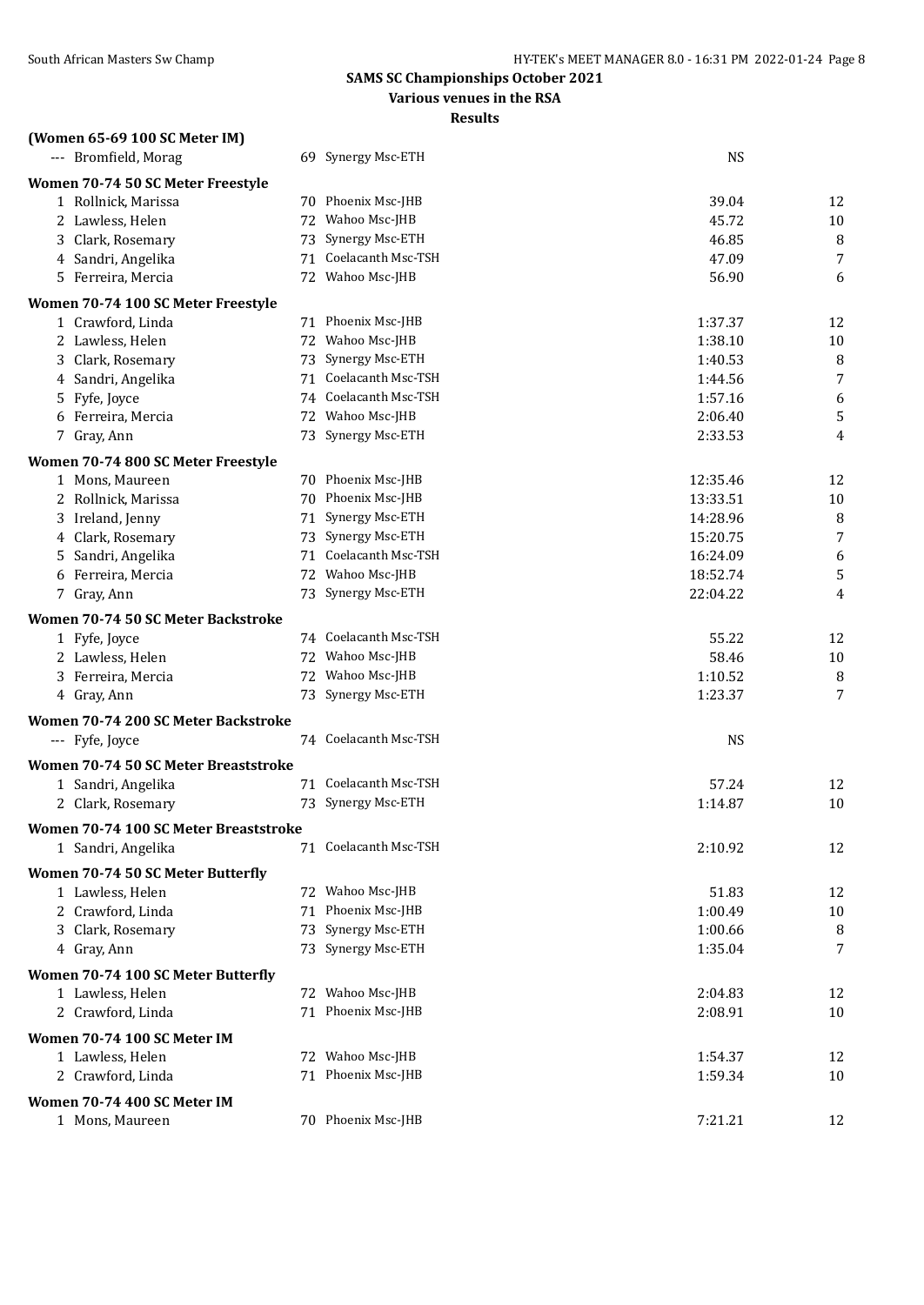**Various venues in the RSA**

| (Women 65-69 100 SC Meter IM)         |    |                       |                    |          |
|---------------------------------------|----|-----------------------|--------------------|----------|
| --- Bromfield, Morag                  |    | 69 Synergy Msc-ETH    | <b>NS</b>          |          |
| Women 70-74 50 SC Meter Freestyle     |    |                       |                    |          |
| 1 Rollnick, Marissa                   |    | 70 Phoenix Msc-JHB    | 39.04              | 12       |
| 2 Lawless, Helen                      | 72 | Wahoo Msc-JHB         | 45.72              | $10\,$   |
| 3 Clark, Rosemary                     | 73 | Synergy Msc-ETH       | 46.85              | 8        |
| 4 Sandri, Angelika                    | 71 | Coelacanth Msc-TSH    | 47.09              | 7        |
| 5 Ferreira, Mercia                    | 72 | Wahoo Msc-JHB         | 56.90              | 6        |
| Women 70-74 100 SC Meter Freestyle    |    |                       |                    |          |
| 1 Crawford, Linda                     |    | 71 Phoenix Msc-JHB    | 1:37.37            | 12       |
| 2 Lawless, Helen                      |    | 72 Wahoo Msc-JHB      | 1:38.10            | $10\,$   |
| 3 Clark, Rosemary                     | 73 | Synergy Msc-ETH       | 1:40.53            | 8        |
| 4 Sandri, Angelika                    | 71 | Coelacanth Msc-TSH    | 1:44.56            | 7        |
| 5 Fyfe, Joyce                         | 74 | Coelacanth Msc-TSH    | 1:57.16            | 6        |
| 6 Ferreira, Mercia                    | 72 | Wahoo Msc-JHB         | 2:06.40            | 5        |
| 7 Gray, Ann                           |    | 73 Synergy Msc-ETH    | 2:33.53            | 4        |
| Women 70-74 800 SC Meter Freestyle    |    |                       |                    |          |
| 1 Mons, Maureen                       |    | 70 Phoenix Msc-JHB    | 12:35.46           | 12       |
| 2 Rollnick, Marissa                   |    | 70 Phoenix Msc-JHB    | 13:33.51           | $10\,$   |
| 3 Ireland, Jenny                      |    | 71 Synergy Msc-ETH    | 14:28.96           | 8        |
| 4 Clark, Rosemary                     | 73 | Synergy Msc-ETH       | 15:20.75           | 7        |
| 5 Sandri, Angelika                    | 71 | Coelacanth Msc-TSH    | 16:24.09           | 6        |
| 6 Ferreira, Mercia                    | 72 | Wahoo Msc-JHB         | 18:52.74           | 5        |
| 7 Gray, Ann                           |    | 73 Synergy Msc-ETH    | 22:04.22           | 4        |
| Women 70-74 50 SC Meter Backstroke    |    |                       |                    |          |
| 1 Fyfe, Joyce                         |    | 74 Coelacanth Msc-TSH | 55.22              | 12       |
| 2 Lawless, Helen                      |    | 72 Wahoo Msc-JHB      | 58.46              | $10\,$   |
| 3 Ferreira, Mercia                    |    | 72 Wahoo Msc-JHB      | 1:10.52            | 8        |
| 4 Gray, Ann                           |    | 73 Synergy Msc-ETH    | 1:23.37            | 7        |
| Women 70-74 200 SC Meter Backstroke   |    |                       |                    |          |
| --- Fyfe, Joyce                       |    | 74 Coelacanth Msc-TSH | <b>NS</b>          |          |
| Women 70-74 50 SC Meter Breaststroke  |    |                       |                    |          |
| 1 Sandri, Angelika                    |    | 71 Coelacanth Msc-TSH | 57.24              | 12       |
| 2 Clark, Rosemary                     |    | 73 Synergy Msc-ETH    | 1:14.87            | 10       |
| Women 70-74 100 SC Meter Breaststroke |    |                       |                    |          |
| 1 Sandri, Angelika                    |    | 71 Coelacanth Msc-TSH | 2:10.92            | 12       |
| Women 70-74 50 SC Meter Butterfly     |    |                       |                    |          |
| 1 Lawless, Helen                      |    | 72 Wahoo Msc-JHB      | 51.83              | 12       |
| 2 Crawford, Linda                     | 71 | Phoenix Msc-JHB       | 1:00.49            | 10       |
| 3 Clark, Rosemary                     | 73 | Synergy Msc-ETH       | 1:00.66            | 8        |
| 4 Gray, Ann                           |    | 73 Synergy Msc-ETH    | 1:35.04            | 7        |
|                                       |    |                       |                    |          |
| Women 70-74 100 SC Meter Butterfly    |    | 72 Wahoo Msc-JHB      |                    |          |
| 1 Lawless, Helen<br>2 Crawford, Linda |    | 71 Phoenix Msc-JHB    | 2:04.83<br>2:08.91 | 12<br>10 |
|                                       |    |                       |                    |          |
| Women 70-74 100 SC Meter IM           |    |                       |                    |          |
| 1 Lawless, Helen                      |    | 72 Wahoo Msc-JHB      | 1:54.37            | 12       |
| 2 Crawford, Linda                     |    | 71 Phoenix Msc-JHB    | 1:59.34            | 10       |
| Women 70-74 400 SC Meter IM           |    |                       |                    |          |
| 1 Mons, Maureen                       |    | 70 Phoenix Msc-JHB    | 7:21.21            | 12       |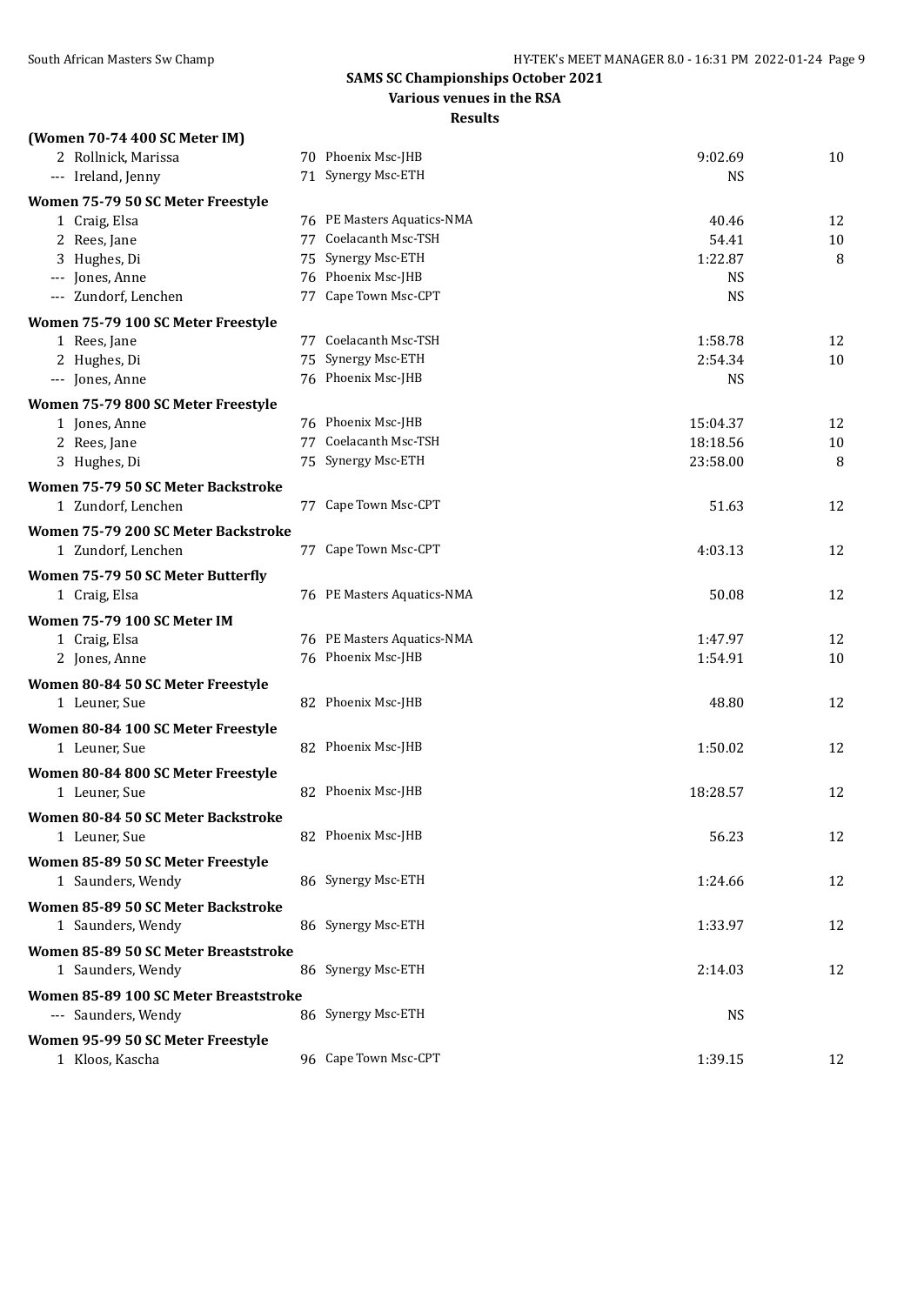#### **Various venues in the RSA**

| (Women 70-74 400 SC Meter IM)         |                            |           |    |
|---------------------------------------|----------------------------|-----------|----|
| 2 Rollnick, Marissa                   | 70 Phoenix Msc-JHB         | 9:02.69   | 10 |
| --- Ireland, Jenny                    | 71 Synergy Msc-ETH         | NS        |    |
| Women 75-79 50 SC Meter Freestyle     |                            |           |    |
| 1 Craig, Elsa                         | 76 PE Masters Aquatics-NMA | 40.46     | 12 |
| 2 Rees, Jane                          | 77 Coelacanth Msc-TSH      | 54.41     | 10 |
| 3 Hughes, Di                          | 75 Synergy Msc-ETH         | 1:22.87   | 8  |
| --- Jones, Anne                       | 76 Phoenix Msc-JHB         | <b>NS</b> |    |
| --- Zundorf, Lenchen                  | 77 Cape Town Msc-CPT       | <b>NS</b> |    |
| Women 75-79 100 SC Meter Freestyle    |                            |           |    |
| 1 Rees, Jane                          | 77 Coelacanth Msc-TSH      | 1:58.78   | 12 |
| 2 Hughes, Di                          | 75 Synergy Msc-ETH         | 2:54.34   | 10 |
| --- Jones, Anne                       | 76 Phoenix Msc-JHB         | <b>NS</b> |    |
| Women 75-79 800 SC Meter Freestyle    |                            |           |    |
| 1 Jones, Anne                         | 76 Phoenix Msc-JHB         | 15:04.37  | 12 |
| 2 Rees, Jane                          | 77 Coelacanth Msc-TSH      | 18:18.56  | 10 |
| 3 Hughes, Di                          | 75 Synergy Msc-ETH         | 23:58.00  | 8  |
|                                       |                            |           |    |
| Women 75-79 50 SC Meter Backstroke    | 77 Cape Town Msc-CPT       |           |    |
| 1 Zundorf, Lenchen                    |                            | 51.63     | 12 |
| Women 75-79 200 SC Meter Backstroke   |                            |           |    |
| 1 Zundorf, Lenchen                    | 77 Cape Town Msc-CPT       | 4:03.13   | 12 |
| Women 75-79 50 SC Meter Butterfly     |                            |           |    |
| 1 Craig, Elsa                         | 76 PE Masters Aquatics-NMA | 50.08     | 12 |
| Women 75-79 100 SC Meter IM           |                            |           |    |
| 1 Craig, Elsa                         | 76 PE Masters Aquatics-NMA | 1:47.97   | 12 |
| 2 Jones, Anne                         | 76 Phoenix Msc-JHB         | 1:54.91   | 10 |
| Women 80-84 50 SC Meter Freestyle     |                            |           |    |
| 1 Leuner, Sue                         | 82 Phoenix Msc-JHB         | 48.80     | 12 |
|                                       |                            |           |    |
| Women 80-84 100 SC Meter Freestyle    |                            |           |    |
| 1 Leuner, Sue                         | 82 Phoenix Msc-JHB         | 1:50.02   | 12 |
| Women 80-84 800 SC Meter Freestyle    |                            |           |    |
| 1 Leuner, Sue                         | 82 Phoenix Msc-JHB         | 18:28.57  | 12 |
| Women 80-84 50 SC Meter Backstroke    |                            |           |    |
| 1 Leuner, Sue                         | 82 Phoenix Msc-JHB         | 56.23     | 12 |
| Women 85-89 50 SC Meter Freestyle     |                            |           |    |
|                                       | 86 Synergy Msc-ETH         |           |    |
| 1 Saunders, Wendy                     |                            | 1:24.66   | 12 |
| Women 85-89 50 SC Meter Backstroke    |                            |           |    |
| 1 Saunders, Wendy                     | 86 Synergy Msc-ETH         | 1:33.97   | 12 |
| Women 85-89 50 SC Meter Breaststroke  |                            |           |    |
| 1 Saunders, Wendy                     | 86 Synergy Msc-ETH         | 2:14.03   | 12 |
| Women 85-89 100 SC Meter Breaststroke |                            |           |    |
| --- Saunders, Wendy                   | 86 Synergy Msc-ETH         | <b>NS</b> |    |
|                                       |                            |           |    |
| Women 95-99 50 SC Meter Freestyle     |                            |           |    |
| 1 Kloos, Kascha                       | 96 Cape Town Msc-CPT       | 1:39.15   | 12 |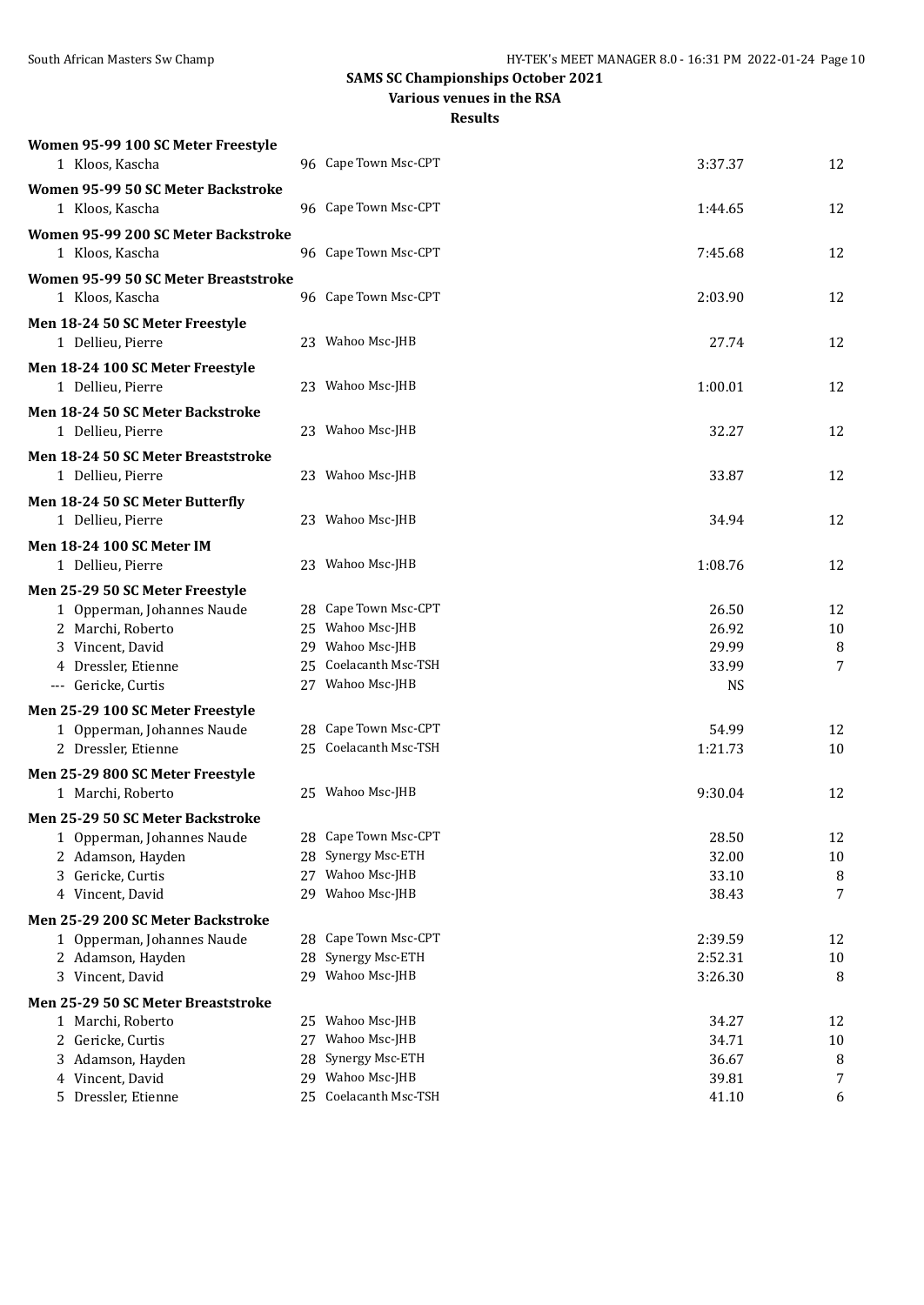#### **Various venues in the RSA**

| Women 95-99 100 SC Meter Freestyle                    |    |                       |           |        |
|-------------------------------------------------------|----|-----------------------|-----------|--------|
| 1 Kloos, Kascha                                       |    | 96 Cape Town Msc-CPT  | 3:37.37   | 12     |
| Women 95-99 50 SC Meter Backstroke<br>1 Kloos, Kascha |    | 96 Cape Town Msc-CPT  | 1:44.65   | 12     |
| Women 95-99 200 SC Meter Backstroke                   |    |                       |           |        |
| 1 Kloos, Kascha                                       |    | 96 Cape Town Msc-CPT  | 7:45.68   | 12     |
| Women 95-99 50 SC Meter Breaststroke                  |    |                       |           |        |
| 1 Kloos, Kascha                                       |    | 96 Cape Town Msc-CPT  | 2:03.90   | 12     |
| Men 18-24 50 SC Meter Freestyle<br>1 Dellieu, Pierre  |    | 23 Wahoo Msc-JHB      | 27.74     | 12     |
| Men 18-24 100 SC Meter Freestyle                      |    |                       |           |        |
| 1 Dellieu, Pierre                                     |    | 23 Wahoo Msc-JHB      | 1:00.01   | 12     |
| Men 18-24 50 SC Meter Backstroke                      |    |                       |           |        |
| 1 Dellieu, Pierre                                     |    | 23 Wahoo Msc-JHB      | 32.27     | 12     |
| Men 18-24 50 SC Meter Breaststroke                    |    |                       |           |        |
| 1 Dellieu, Pierre                                     |    | 23 Wahoo Msc-JHB      | 33.87     | 12     |
| Men 18-24 50 SC Meter Butterfly                       |    |                       |           |        |
| 1 Dellieu, Pierre                                     |    | 23 Wahoo Msc-JHB      | 34.94     | 12     |
| <b>Men 18-24 100 SC Meter IM</b>                      |    |                       |           |        |
| 1 Dellieu, Pierre                                     |    | 23 Wahoo Msc-JHB      | 1:08.76   | 12     |
| Men 25-29 50 SC Meter Freestyle                       |    |                       |           |        |
| 1 Opperman, Johannes Naude                            |    | 28 Cape Town Msc-CPT  | 26.50     | 12     |
| 2 Marchi, Roberto                                     |    | 25 Wahoo Msc-JHB      | 26.92     | 10     |
| 3 Vincent, David                                      |    | 29 Wahoo Msc-JHB      | 29.99     | 8      |
| 4 Dressler, Etienne                                   |    | 25 Coelacanth Msc-TSH | 33.99     | 7      |
| --- Gericke, Curtis                                   |    | 27 Wahoo Msc-JHB      | <b>NS</b> |        |
| Men 25-29 100 SC Meter Freestyle                      |    |                       |           |        |
| 1 Opperman, Johannes Naude                            |    | 28 Cape Town Msc-CPT  | 54.99     | 12     |
| 2 Dressler, Etienne                                   |    | 25 Coelacanth Msc-TSH | 1:21.73   | 10     |
| Men 25-29 800 SC Meter Freestyle                      |    |                       |           |        |
| 1 Marchi, Roberto                                     |    | 25 Wahoo Msc-JHB      | 9:30.04   | 12     |
| Men 25-29 50 SC Meter Backstroke                      |    |                       |           |        |
| 1 Opperman, Johannes Naude                            |    | 28 Cape Town Msc-CPT  | 28.50     | 12     |
| 2 Adamson, Hayden                                     |    | 28 Synergy Msc-ETH    | 32.00     | $10\,$ |
| 3 Gericke, Curtis                                     |    | 27 Wahoo Msc-JHB      | 33.10     | 8      |
| 4 Vincent, David                                      |    | 29 Wahoo Msc-JHB      | 38.43     | 7      |
| Men 25-29 200 SC Meter Backstroke                     |    |                       |           |        |
| 1 Opperman, Johannes Naude                            | 28 | Cape Town Msc-CPT     | 2:39.59   | 12     |
| 2 Adamson, Hayden                                     |    | 28 Synergy Msc-ETH    | 2:52.31   | 10     |
| 3 Vincent, David                                      |    | 29 Wahoo Msc-JHB      | 3:26.30   | 8      |
| Men 25-29 50 SC Meter Breaststroke                    |    |                       |           |        |
| 1 Marchi, Roberto                                     |    | 25 Wahoo Msc-JHB      | 34.27     | 12     |
| 2 Gericke, Curtis                                     | 27 | Wahoo Msc-JHB         | 34.71     | 10     |
| 3 Adamson, Hayden                                     | 28 | Synergy Msc-ETH       | 36.67     | 8      |
| 4 Vincent, David                                      |    | 29 Wahoo Msc-JHB      | 39.81     | 7      |
| 5 Dressler, Etienne                                   |    | 25 Coelacanth Msc-TSH | 41.10     | 6      |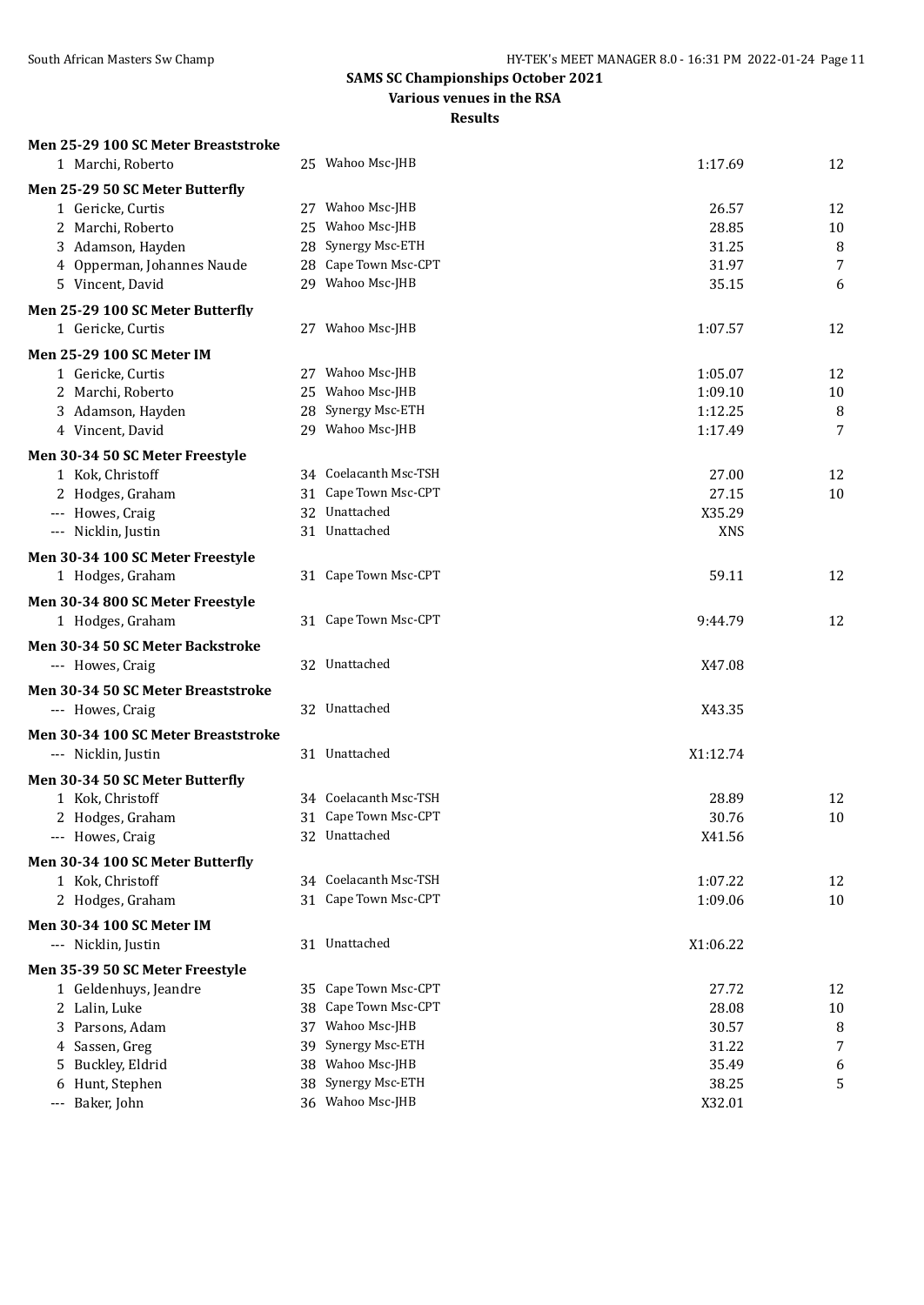**Various venues in the RSA**

| Men 25-29 100 SC Meter Breaststroke           |                                               |                |          |
|-----------------------------------------------|-----------------------------------------------|----------------|----------|
| 1 Marchi, Roberto                             | 25 Wahoo Msc-JHB                              | 1:17.69        | 12       |
| Men 25-29 50 SC Meter Butterfly               |                                               |                |          |
| 1 Gericke, Curtis                             | 27 Wahoo Msc-JHB                              | 26.57          | 12       |
| 2 Marchi, Roberto                             | 25 Wahoo Msc-JHB                              | 28.85          | 10       |
| 3 Adamson, Hayden                             | 28 Synergy Msc-ETH                            | 31.25          | 8        |
| 4 Opperman, Johannes Naude                    | 28 Cape Town Msc-CPT                          | 31.97          | 7        |
| 5 Vincent, David                              | 29 Wahoo Msc-JHB                              | 35.15          | 6        |
| Men 25-29 100 SC Meter Butterfly              |                                               |                |          |
| 1 Gericke, Curtis                             | 27 Wahoo Msc-JHB                              | 1:07.57        | 12       |
| Men 25-29 100 SC Meter IM                     |                                               |                |          |
| 1 Gericke, Curtis                             | 27 Wahoo Msc-JHB                              | 1:05.07        | 12       |
| 2 Marchi, Roberto                             | 25 Wahoo Msc-JHB                              | 1:09.10        | 10       |
| 3 Adamson, Hayden                             | 28 Synergy Msc-ETH                            | 1:12.25        | $\, 8$   |
| 4 Vincent, David                              | 29 Wahoo Msc-JHB                              | 1:17.49        | 7        |
| Men 30-34 50 SC Meter Freestyle               |                                               |                |          |
| 1 Kok, Christoff                              | 34 Coelacanth Msc-TSH                         | 27.00          | 12       |
| 2 Hodges, Graham                              | 31 Cape Town Msc-CPT                          | 27.15          | 10       |
| --- Howes, Craig                              | 32 Unattached                                 | X35.29         |          |
| --- Nicklin, Justin                           | 31 Unattached                                 | <b>XNS</b>     |          |
| Men 30-34 100 SC Meter Freestyle              |                                               |                |          |
| 1 Hodges, Graham                              | 31 Cape Town Msc-CPT                          | 59.11          | 12       |
| Men 30-34 800 SC Meter Freestyle              |                                               |                |          |
| 1 Hodges, Graham                              | 31 Cape Town Msc-CPT                          | 9:44.79        | 12       |
| Men 30-34 50 SC Meter Backstroke              |                                               |                |          |
| --- Howes, Craig                              | 32 Unattached                                 | X47.08         |          |
| Men 30-34 50 SC Meter Breaststroke            |                                               |                |          |
| --- Howes, Craig                              | 32 Unattached                                 | X43.35         |          |
| Men 30-34 100 SC Meter Breaststroke           |                                               |                |          |
| --- Nicklin, Justin                           | 31 Unattached                                 | X1:12.74       |          |
|                                               |                                               |                |          |
| Men 30-34 50 SC Meter Butterfly               | 34 Coelacanth Msc-TSH                         |                |          |
| 1 Kok, Christoff<br>2 Hodges, Graham          | 31 Cape Town Msc-CPT                          | 28.89<br>30.76 | 12<br>10 |
| --- Howes, Craig                              | 32 Unattached                                 | X41.56         |          |
|                                               |                                               |                |          |
| Men 30-34 100 SC Meter Butterfly              |                                               |                |          |
| 1 Kok, Christoff                              | 34 Coelacanth Msc-TSH<br>31 Cape Town Msc-CPT | 1:07.22        | 12       |
| 2 Hodges, Graham                              |                                               | 1:09.06        | 10       |
| Men 30-34 100 SC Meter IM                     |                                               |                |          |
| --- Nicklin, Justin                           | 31 Unattached                                 | X1:06.22       |          |
| Men 35-39 50 SC Meter Freestyle               |                                               |                |          |
| 1 Geldenhuys, Jeandre                         | 35 Cape Town Msc-CPT                          | 27.72          | 12       |
| 2 Lalin, Luke                                 | 38 Cape Town Msc-CPT                          | 28.08          | 10       |
| 3 Parsons, Adam                               | Wahoo Msc-JHB<br>37                           | 30.57          | 8        |
| Sassen, Greg<br>4                             | Synergy Msc-ETH<br>39                         | 31.22          | 7        |
| Buckley, Eldrid<br>5.                         | 38 Wahoo Msc-JHB<br>38 Synergy Msc-ETH        | 35.49<br>38.25 | 6        |
| Hunt, Stephen<br>6<br>Baker, John<br>$\cdots$ | 36 Wahoo Msc-JHB                              | X32.01         | 5        |
|                                               |                                               |                |          |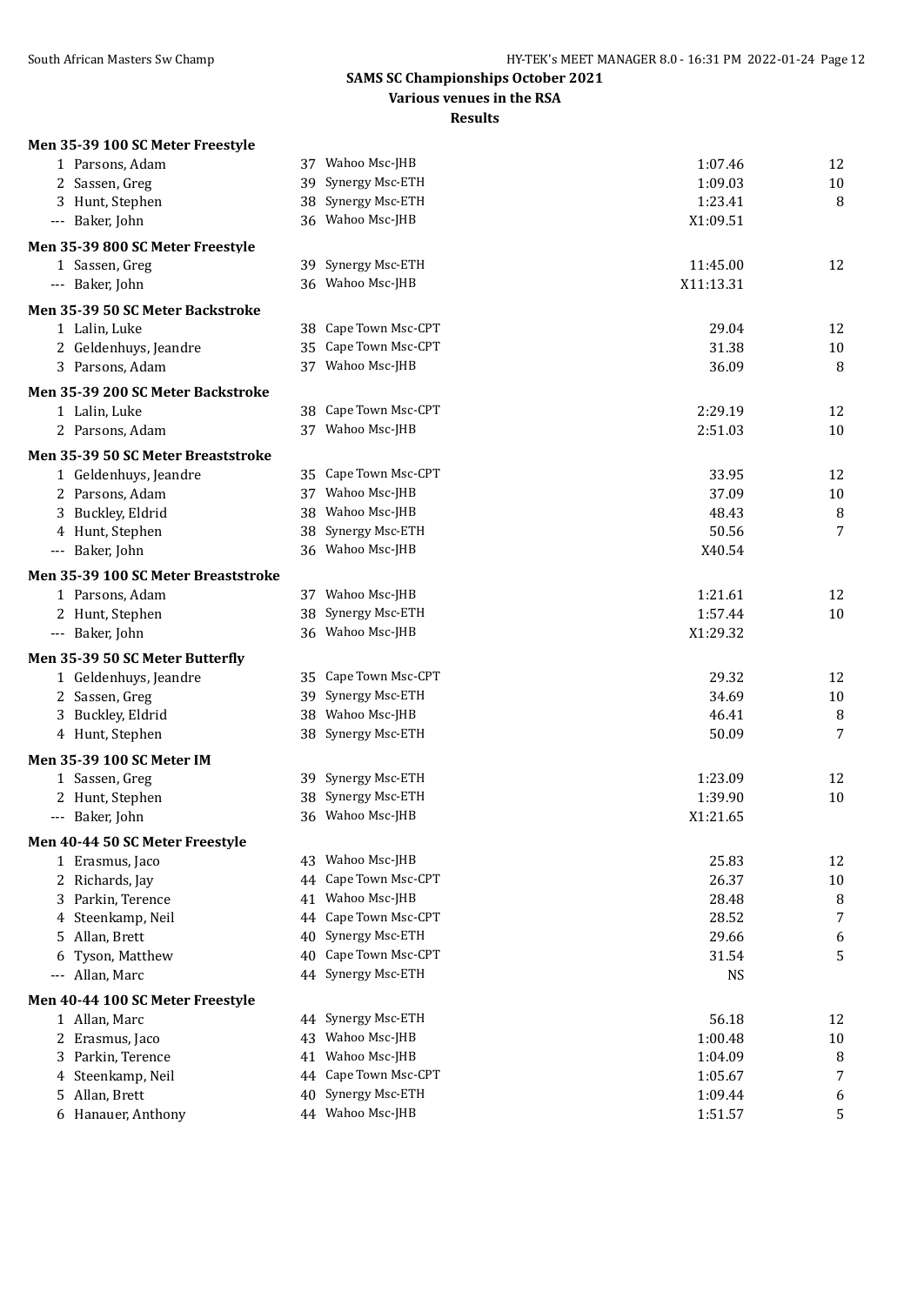**Various venues in the RSA**

| Men 35-39 100 SC Meter Freestyle    |    |                      |           |        |
|-------------------------------------|----|----------------------|-----------|--------|
| 1 Parsons, Adam                     |    | 37 Wahoo Msc-JHB     | 1:07.46   | 12     |
| 2 Sassen, Greg                      |    | 39 Synergy Msc-ETH   | 1:09.03   | $10\,$ |
| 3 Hunt, Stephen                     |    | 38 Synergy Msc-ETH   | 1:23.41   | 8      |
| --- Baker, John                     |    | 36 Wahoo Msc-JHB     | X1:09.51  |        |
| Men 35-39 800 SC Meter Freestyle    |    |                      |           |        |
| 1 Sassen, Greg                      |    | 39 Synergy Msc-ETH   | 11:45.00  | 12     |
| --- Baker, John                     |    | 36 Wahoo Msc-JHB     | X11:13.31 |        |
| Men 35-39 50 SC Meter Backstroke    |    |                      |           |        |
| 1 Lalin, Luke                       |    | 38 Cape Town Msc-CPT | 29.04     | 12     |
| 2 Geldenhuys, Jeandre               |    | 35 Cape Town Msc-CPT | 31.38     | $10\,$ |
| 3 Parsons, Adam                     |    | 37 Wahoo Msc-JHB     | 36.09     | 8      |
| Men 35-39 200 SC Meter Backstroke   |    |                      |           |        |
| 1 Lalin, Luke                       |    | 38 Cape Town Msc-CPT | 2:29.19   | 12     |
| 2 Parsons, Adam                     |    | 37 Wahoo Msc-JHB     | 2:51.03   | 10     |
| Men 35-39 50 SC Meter Breaststroke  |    |                      |           |        |
| 1 Geldenhuys, Jeandre               |    | 35 Cape Town Msc-CPT | 33.95     | 12     |
| 2 Parsons, Adam                     |    | 37 Wahoo Msc-JHB     | 37.09     | $10\,$ |
| 3 Buckley, Eldrid                   |    | 38 Wahoo Msc-JHB     | 48.43     | 8      |
| 4 Hunt, Stephen                     |    | 38 Synergy Msc-ETH   | 50.56     | 7      |
| --- Baker, John                     |    | 36 Wahoo Msc-JHB     | X40.54    |        |
| Men 35-39 100 SC Meter Breaststroke |    |                      |           |        |
| 1 Parsons, Adam                     |    | 37 Wahoo Msc-JHB     | 1:21.61   | 12     |
| 2 Hunt, Stephen                     |    | 38 Synergy Msc-ETH   | 1:57.44   | 10     |
| --- Baker, John                     |    | 36 Wahoo Msc-JHB     | X1:29.32  |        |
| Men 35-39 50 SC Meter Butterfly     |    |                      |           |        |
| 1 Geldenhuys, Jeandre               |    | 35 Cape Town Msc-CPT | 29.32     | 12     |
| 2 Sassen, Greg                      |    | 39 Synergy Msc-ETH   | 34.69     | 10     |
| 3 Buckley, Eldrid                   |    | 38 Wahoo Msc-JHB     | 46.41     | 8      |
| 4 Hunt, Stephen                     |    | 38 Synergy Msc-ETH   | 50.09     | 7      |
| Men 35-39 100 SC Meter IM           |    |                      |           |        |
| 1 Sassen, Greg                      |    | 39 Synergy Msc-ETH   | 1:23.09   | 12     |
| 2 Hunt, Stephen                     |    | 38 Synergy Msc-ETH   | 1:39.90   | $10\,$ |
| --- Baker, John                     |    | 36 Wahoo Msc-JHB     | X1:21.65  |        |
| Men 40-44 50 SC Meter Freestyle     |    |                      |           |        |
| 1 Erasmus, Jaco                     |    | 43 Wahoo Msc-JHB     | 25.83     | 12     |
| 2 Richards, Jay                     |    | 44 Cape Town Msc-CPT | 26.37     | $10\,$ |
| 3 Parkin, Terence                   |    | 41 Wahoo Msc-JHB     | 28.48     | 8      |
| 4 Steenkamp, Neil                   |    | 44 Cape Town Msc-CPT | 28.52     | 7      |
| 5 Allan, Brett                      | 40 | Synergy Msc-ETH      | 29.66     | 6      |
| Tyson, Matthew<br>6                 | 40 | Cape Town Msc-CPT    | 31.54     | 5      |
| --- Allan, Marc                     |    | 44 Synergy Msc-ETH   | <b>NS</b> |        |
| Men 40-44 100 SC Meter Freestyle    |    |                      |           |        |
| 1 Allan, Marc                       |    | 44 Synergy Msc-ETH   | 56.18     | 12     |
| 2 Erasmus, Jaco                     |    | 43 Wahoo Msc-JHB     | 1:00.48   | 10     |
| 3 Parkin, Terence                   |    | 41 Wahoo Msc-JHB     | 1:04.09   | 8      |
| 4 Steenkamp, Neil                   |    | 44 Cape Town Msc-CPT | 1:05.67   | 7      |
| 5 Allan, Brett                      | 40 | Synergy Msc-ETH      | 1:09.44   | 6      |
| 6 Hanauer, Anthony                  |    | 44 Wahoo Msc-JHB     | 1:51.57   | 5      |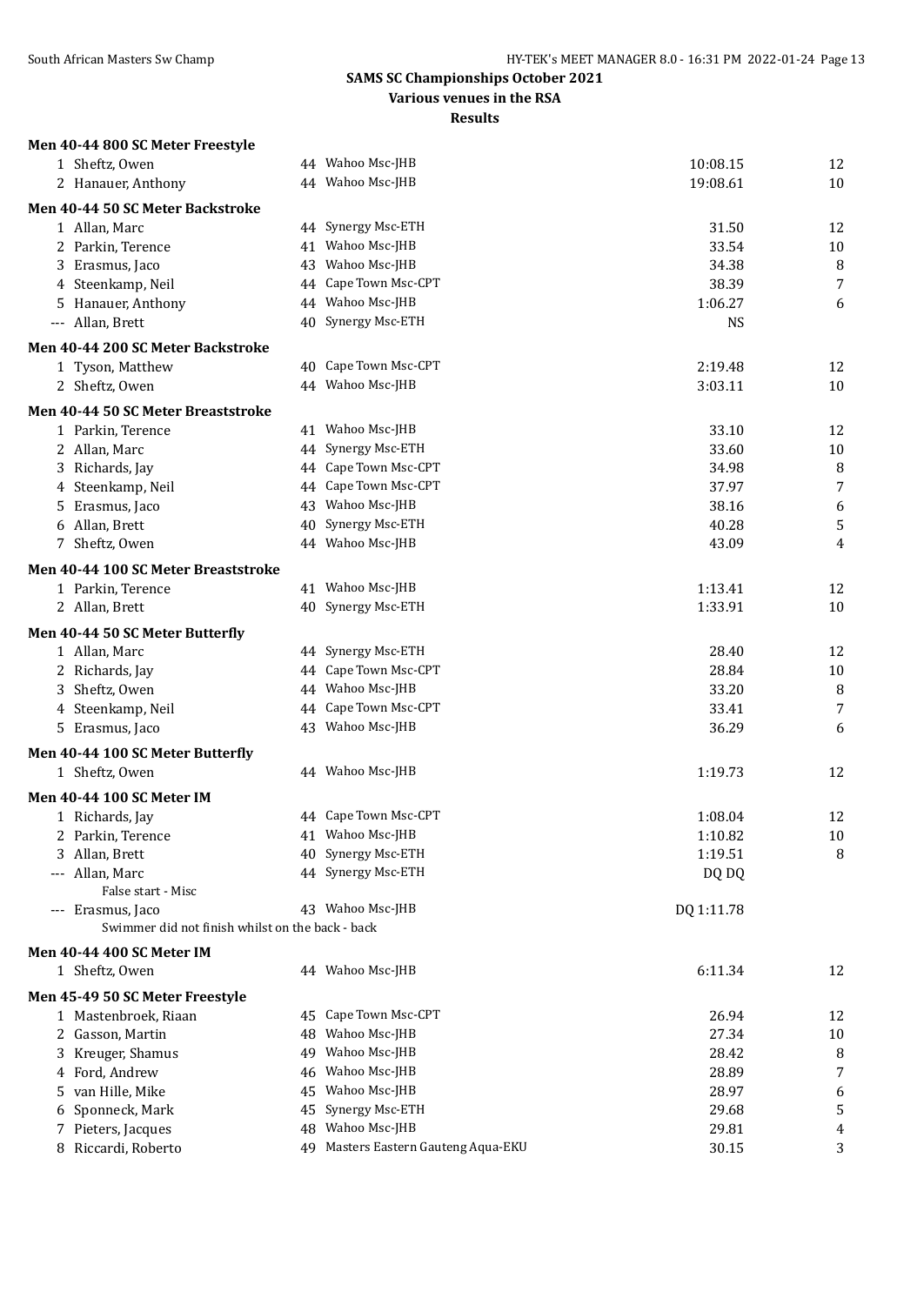**Various venues in the RSA**

| 44 Wahoo Msc-JHB<br>1 Sheftz, Owen<br>10:08.15<br>12<br>10<br>2 Hanauer, Anthony<br>44 Wahoo Msc-JHB<br>19:08.61<br>Men 40-44 50 SC Meter Backstroke<br>44 Synergy Msc-ETH<br>12<br>31.50<br>1 Allan, Marc<br>41 Wahoo Msc-JHB<br>2 Parkin, Terence<br>33.54<br>10<br>43 Wahoo Msc-JHB<br>8<br>3 Erasmus, Jaco<br>34.38<br>44 Cape Town Msc-CPT<br>7<br>4 Steenkamp, Neil<br>38.39<br>44 Wahoo Msc-JHB<br>5 Hanauer, Anthony<br>1:06.27<br>6<br>40 Synergy Msc-ETH<br><b>NS</b><br>--- Allan, Brett<br>Men 40-44 200 SC Meter Backstroke<br>40 Cape Town Msc-CPT<br>12<br>1 Tyson, Matthew<br>2:19.48<br>44 Wahoo Msc-JHB<br>2 Sheftz, Owen<br>3:03.11<br>10<br>Men 40-44 50 SC Meter Breaststroke<br>12<br>1 Parkin, Terence<br>41 Wahoo Msc-JHB<br>33.10<br>44 Synergy Msc-ETH<br>33.60<br>2 Allan, Marc<br>10<br>44 Cape Town Msc-CPT<br>8<br>3 Richards, Jay<br>34.98<br>44 Cape Town Msc-CPT<br>$\overline{7}$<br>4 Steenkamp, Neil<br>37.97<br>43 Wahoo Msc-JHB<br>38.16<br>6<br>5 Erasmus, Jaco<br>5<br>6 Allan, Brett<br>40 Synergy Msc-ETH<br>40.28<br>7 Sheftz, Owen<br>44 Wahoo Msc-JHB<br>43.09<br>4<br>Men 40-44 100 SC Meter Breaststroke<br>41 Wahoo Msc-JHB<br>1 Parkin, Terence<br>1:13.41<br>12<br>40 Synergy Msc-ETH<br>2 Allan, Brett<br>1:33.91<br>10<br>Men 40-44 50 SC Meter Butterfly<br>44 Synergy Msc-ETH<br>1 Allan, Marc<br>28.40<br>12<br>44 Cape Town Msc-CPT<br>28.84<br>2 Richards, Jay<br>10<br>44 Wahoo Msc-JHB<br>33.20<br>8<br>3 Sheftz, Owen<br>44 Cape Town Msc-CPT<br>7<br>4 Steenkamp, Neil<br>33.41<br>43 Wahoo Msc-JHB<br>36.29<br>5 Erasmus, Jaco<br>6<br>Men 40-44 100 SC Meter Butterfly<br>44 Wahoo Msc-JHB<br>1 Sheftz, Owen<br>1:19.73<br>12<br>Men 40-44 100 SC Meter IM<br>44 Cape Town Msc-CPT<br>1:08.04<br>12<br>1 Richards, Jay<br>2 Parkin, Terence<br>41 Wahoo Msc-JHB<br>1:10.82<br>$10\,$<br>3 Allan, Brett<br>Synergy Msc-ETH<br>1:19.51<br>8<br>40<br>44 Synergy Msc-ETH<br>--- Allan, Marc<br>DQ DQ<br>False start - Misc<br>43 Wahoo Msc-JHB<br>--- Erasmus, Jaco<br>DQ 1:11.78<br>Swimmer did not finish whilst on the back - back<br><b>Men 40-44 400 SC Meter IM</b><br>44 Wahoo Msc-JHB<br>1 Sheftz, Owen<br>6:11.34<br>12<br>Men 45-49 50 SC Meter Freestyle<br>45 Cape Town Msc-CPT<br>26.94<br>1 Mastenbroek, Riaan<br>12<br>Wahoo Msc-JHB<br>2 Gasson, Martin<br>27.34<br>10<br>48<br>3 Kreuger, Shamus<br>Wahoo Msc-JHB<br>8<br>28.42<br>49<br>$\overline{7}$<br>Wahoo Msc-JHB<br>4 Ford, Andrew<br>28.89<br>46<br>5 van Hille, Mike<br>Wahoo Msc-JHB<br>28.97<br>6<br>45<br>Synergy Msc-ETH<br>5<br>Sponneck, Mark<br>29.68<br>45<br>6<br>48 Wahoo Msc-JHB<br>7 Pieters, Jacques<br>29.81<br>4<br>49 Masters Eastern Gauteng Aqua-EKU<br>8 Riccardi, Roberto<br>30.15<br>3 | Men 40-44 800 SC Meter Freestyle |  |  |
|----------------------------------------------------------------------------------------------------------------------------------------------------------------------------------------------------------------------------------------------------------------------------------------------------------------------------------------------------------------------------------------------------------------------------------------------------------------------------------------------------------------------------------------------------------------------------------------------------------------------------------------------------------------------------------------------------------------------------------------------------------------------------------------------------------------------------------------------------------------------------------------------------------------------------------------------------------------------------------------------------------------------------------------------------------------------------------------------------------------------------------------------------------------------------------------------------------------------------------------------------------------------------------------------------------------------------------------------------------------------------------------------------------------------------------------------------------------------------------------------------------------------------------------------------------------------------------------------------------------------------------------------------------------------------------------------------------------------------------------------------------------------------------------------------------------------------------------------------------------------------------------------------------------------------------------------------------------------------------------------------------------------------------------------------------------------------------------------------------------------------------------------------------------------------------------------------------------------------------------------------------------------------------------------------------------------------------------------------------------------------------------------------------------------------------------------------------------------------------------------------------------------------------------------------------------------------------------------------------------------------------------------------------------------------------------------------------------------------------------------------|----------------------------------|--|--|
|                                                                                                                                                                                                                                                                                                                                                                                                                                                                                                                                                                                                                                                                                                                                                                                                                                                                                                                                                                                                                                                                                                                                                                                                                                                                                                                                                                                                                                                                                                                                                                                                                                                                                                                                                                                                                                                                                                                                                                                                                                                                                                                                                                                                                                                                                                                                                                                                                                                                                                                                                                                                                                                                                                                                                    |                                  |  |  |
|                                                                                                                                                                                                                                                                                                                                                                                                                                                                                                                                                                                                                                                                                                                                                                                                                                                                                                                                                                                                                                                                                                                                                                                                                                                                                                                                                                                                                                                                                                                                                                                                                                                                                                                                                                                                                                                                                                                                                                                                                                                                                                                                                                                                                                                                                                                                                                                                                                                                                                                                                                                                                                                                                                                                                    |                                  |  |  |
|                                                                                                                                                                                                                                                                                                                                                                                                                                                                                                                                                                                                                                                                                                                                                                                                                                                                                                                                                                                                                                                                                                                                                                                                                                                                                                                                                                                                                                                                                                                                                                                                                                                                                                                                                                                                                                                                                                                                                                                                                                                                                                                                                                                                                                                                                                                                                                                                                                                                                                                                                                                                                                                                                                                                                    |                                  |  |  |
|                                                                                                                                                                                                                                                                                                                                                                                                                                                                                                                                                                                                                                                                                                                                                                                                                                                                                                                                                                                                                                                                                                                                                                                                                                                                                                                                                                                                                                                                                                                                                                                                                                                                                                                                                                                                                                                                                                                                                                                                                                                                                                                                                                                                                                                                                                                                                                                                                                                                                                                                                                                                                                                                                                                                                    |                                  |  |  |
|                                                                                                                                                                                                                                                                                                                                                                                                                                                                                                                                                                                                                                                                                                                                                                                                                                                                                                                                                                                                                                                                                                                                                                                                                                                                                                                                                                                                                                                                                                                                                                                                                                                                                                                                                                                                                                                                                                                                                                                                                                                                                                                                                                                                                                                                                                                                                                                                                                                                                                                                                                                                                                                                                                                                                    |                                  |  |  |
|                                                                                                                                                                                                                                                                                                                                                                                                                                                                                                                                                                                                                                                                                                                                                                                                                                                                                                                                                                                                                                                                                                                                                                                                                                                                                                                                                                                                                                                                                                                                                                                                                                                                                                                                                                                                                                                                                                                                                                                                                                                                                                                                                                                                                                                                                                                                                                                                                                                                                                                                                                                                                                                                                                                                                    |                                  |  |  |
|                                                                                                                                                                                                                                                                                                                                                                                                                                                                                                                                                                                                                                                                                                                                                                                                                                                                                                                                                                                                                                                                                                                                                                                                                                                                                                                                                                                                                                                                                                                                                                                                                                                                                                                                                                                                                                                                                                                                                                                                                                                                                                                                                                                                                                                                                                                                                                                                                                                                                                                                                                                                                                                                                                                                                    |                                  |  |  |
|                                                                                                                                                                                                                                                                                                                                                                                                                                                                                                                                                                                                                                                                                                                                                                                                                                                                                                                                                                                                                                                                                                                                                                                                                                                                                                                                                                                                                                                                                                                                                                                                                                                                                                                                                                                                                                                                                                                                                                                                                                                                                                                                                                                                                                                                                                                                                                                                                                                                                                                                                                                                                                                                                                                                                    |                                  |  |  |
|                                                                                                                                                                                                                                                                                                                                                                                                                                                                                                                                                                                                                                                                                                                                                                                                                                                                                                                                                                                                                                                                                                                                                                                                                                                                                                                                                                                                                                                                                                                                                                                                                                                                                                                                                                                                                                                                                                                                                                                                                                                                                                                                                                                                                                                                                                                                                                                                                                                                                                                                                                                                                                                                                                                                                    |                                  |  |  |
|                                                                                                                                                                                                                                                                                                                                                                                                                                                                                                                                                                                                                                                                                                                                                                                                                                                                                                                                                                                                                                                                                                                                                                                                                                                                                                                                                                                                                                                                                                                                                                                                                                                                                                                                                                                                                                                                                                                                                                                                                                                                                                                                                                                                                                                                                                                                                                                                                                                                                                                                                                                                                                                                                                                                                    |                                  |  |  |
|                                                                                                                                                                                                                                                                                                                                                                                                                                                                                                                                                                                                                                                                                                                                                                                                                                                                                                                                                                                                                                                                                                                                                                                                                                                                                                                                                                                                                                                                                                                                                                                                                                                                                                                                                                                                                                                                                                                                                                                                                                                                                                                                                                                                                                                                                                                                                                                                                                                                                                                                                                                                                                                                                                                                                    |                                  |  |  |
|                                                                                                                                                                                                                                                                                                                                                                                                                                                                                                                                                                                                                                                                                                                                                                                                                                                                                                                                                                                                                                                                                                                                                                                                                                                                                                                                                                                                                                                                                                                                                                                                                                                                                                                                                                                                                                                                                                                                                                                                                                                                                                                                                                                                                                                                                                                                                                                                                                                                                                                                                                                                                                                                                                                                                    |                                  |  |  |
|                                                                                                                                                                                                                                                                                                                                                                                                                                                                                                                                                                                                                                                                                                                                                                                                                                                                                                                                                                                                                                                                                                                                                                                                                                                                                                                                                                                                                                                                                                                                                                                                                                                                                                                                                                                                                                                                                                                                                                                                                                                                                                                                                                                                                                                                                                                                                                                                                                                                                                                                                                                                                                                                                                                                                    |                                  |  |  |
|                                                                                                                                                                                                                                                                                                                                                                                                                                                                                                                                                                                                                                                                                                                                                                                                                                                                                                                                                                                                                                                                                                                                                                                                                                                                                                                                                                                                                                                                                                                                                                                                                                                                                                                                                                                                                                                                                                                                                                                                                                                                                                                                                                                                                                                                                                                                                                                                                                                                                                                                                                                                                                                                                                                                                    |                                  |  |  |
|                                                                                                                                                                                                                                                                                                                                                                                                                                                                                                                                                                                                                                                                                                                                                                                                                                                                                                                                                                                                                                                                                                                                                                                                                                                                                                                                                                                                                                                                                                                                                                                                                                                                                                                                                                                                                                                                                                                                                                                                                                                                                                                                                                                                                                                                                                                                                                                                                                                                                                                                                                                                                                                                                                                                                    |                                  |  |  |
|                                                                                                                                                                                                                                                                                                                                                                                                                                                                                                                                                                                                                                                                                                                                                                                                                                                                                                                                                                                                                                                                                                                                                                                                                                                                                                                                                                                                                                                                                                                                                                                                                                                                                                                                                                                                                                                                                                                                                                                                                                                                                                                                                                                                                                                                                                                                                                                                                                                                                                                                                                                                                                                                                                                                                    |                                  |  |  |
|                                                                                                                                                                                                                                                                                                                                                                                                                                                                                                                                                                                                                                                                                                                                                                                                                                                                                                                                                                                                                                                                                                                                                                                                                                                                                                                                                                                                                                                                                                                                                                                                                                                                                                                                                                                                                                                                                                                                                                                                                                                                                                                                                                                                                                                                                                                                                                                                                                                                                                                                                                                                                                                                                                                                                    |                                  |  |  |
|                                                                                                                                                                                                                                                                                                                                                                                                                                                                                                                                                                                                                                                                                                                                                                                                                                                                                                                                                                                                                                                                                                                                                                                                                                                                                                                                                                                                                                                                                                                                                                                                                                                                                                                                                                                                                                                                                                                                                                                                                                                                                                                                                                                                                                                                                                                                                                                                                                                                                                                                                                                                                                                                                                                                                    |                                  |  |  |
|                                                                                                                                                                                                                                                                                                                                                                                                                                                                                                                                                                                                                                                                                                                                                                                                                                                                                                                                                                                                                                                                                                                                                                                                                                                                                                                                                                                                                                                                                                                                                                                                                                                                                                                                                                                                                                                                                                                                                                                                                                                                                                                                                                                                                                                                                                                                                                                                                                                                                                                                                                                                                                                                                                                                                    |                                  |  |  |
|                                                                                                                                                                                                                                                                                                                                                                                                                                                                                                                                                                                                                                                                                                                                                                                                                                                                                                                                                                                                                                                                                                                                                                                                                                                                                                                                                                                                                                                                                                                                                                                                                                                                                                                                                                                                                                                                                                                                                                                                                                                                                                                                                                                                                                                                                                                                                                                                                                                                                                                                                                                                                                                                                                                                                    |                                  |  |  |
|                                                                                                                                                                                                                                                                                                                                                                                                                                                                                                                                                                                                                                                                                                                                                                                                                                                                                                                                                                                                                                                                                                                                                                                                                                                                                                                                                                                                                                                                                                                                                                                                                                                                                                                                                                                                                                                                                                                                                                                                                                                                                                                                                                                                                                                                                                                                                                                                                                                                                                                                                                                                                                                                                                                                                    |                                  |  |  |
|                                                                                                                                                                                                                                                                                                                                                                                                                                                                                                                                                                                                                                                                                                                                                                                                                                                                                                                                                                                                                                                                                                                                                                                                                                                                                                                                                                                                                                                                                                                                                                                                                                                                                                                                                                                                                                                                                                                                                                                                                                                                                                                                                                                                                                                                                                                                                                                                                                                                                                                                                                                                                                                                                                                                                    |                                  |  |  |
|                                                                                                                                                                                                                                                                                                                                                                                                                                                                                                                                                                                                                                                                                                                                                                                                                                                                                                                                                                                                                                                                                                                                                                                                                                                                                                                                                                                                                                                                                                                                                                                                                                                                                                                                                                                                                                                                                                                                                                                                                                                                                                                                                                                                                                                                                                                                                                                                                                                                                                                                                                                                                                                                                                                                                    |                                  |  |  |
|                                                                                                                                                                                                                                                                                                                                                                                                                                                                                                                                                                                                                                                                                                                                                                                                                                                                                                                                                                                                                                                                                                                                                                                                                                                                                                                                                                                                                                                                                                                                                                                                                                                                                                                                                                                                                                                                                                                                                                                                                                                                                                                                                                                                                                                                                                                                                                                                                                                                                                                                                                                                                                                                                                                                                    |                                  |  |  |
|                                                                                                                                                                                                                                                                                                                                                                                                                                                                                                                                                                                                                                                                                                                                                                                                                                                                                                                                                                                                                                                                                                                                                                                                                                                                                                                                                                                                                                                                                                                                                                                                                                                                                                                                                                                                                                                                                                                                                                                                                                                                                                                                                                                                                                                                                                                                                                                                                                                                                                                                                                                                                                                                                                                                                    |                                  |  |  |
|                                                                                                                                                                                                                                                                                                                                                                                                                                                                                                                                                                                                                                                                                                                                                                                                                                                                                                                                                                                                                                                                                                                                                                                                                                                                                                                                                                                                                                                                                                                                                                                                                                                                                                                                                                                                                                                                                                                                                                                                                                                                                                                                                                                                                                                                                                                                                                                                                                                                                                                                                                                                                                                                                                                                                    |                                  |  |  |
|                                                                                                                                                                                                                                                                                                                                                                                                                                                                                                                                                                                                                                                                                                                                                                                                                                                                                                                                                                                                                                                                                                                                                                                                                                                                                                                                                                                                                                                                                                                                                                                                                                                                                                                                                                                                                                                                                                                                                                                                                                                                                                                                                                                                                                                                                                                                                                                                                                                                                                                                                                                                                                                                                                                                                    |                                  |  |  |
|                                                                                                                                                                                                                                                                                                                                                                                                                                                                                                                                                                                                                                                                                                                                                                                                                                                                                                                                                                                                                                                                                                                                                                                                                                                                                                                                                                                                                                                                                                                                                                                                                                                                                                                                                                                                                                                                                                                                                                                                                                                                                                                                                                                                                                                                                                                                                                                                                                                                                                                                                                                                                                                                                                                                                    |                                  |  |  |
|                                                                                                                                                                                                                                                                                                                                                                                                                                                                                                                                                                                                                                                                                                                                                                                                                                                                                                                                                                                                                                                                                                                                                                                                                                                                                                                                                                                                                                                                                                                                                                                                                                                                                                                                                                                                                                                                                                                                                                                                                                                                                                                                                                                                                                                                                                                                                                                                                                                                                                                                                                                                                                                                                                                                                    |                                  |  |  |
|                                                                                                                                                                                                                                                                                                                                                                                                                                                                                                                                                                                                                                                                                                                                                                                                                                                                                                                                                                                                                                                                                                                                                                                                                                                                                                                                                                                                                                                                                                                                                                                                                                                                                                                                                                                                                                                                                                                                                                                                                                                                                                                                                                                                                                                                                                                                                                                                                                                                                                                                                                                                                                                                                                                                                    |                                  |  |  |
|                                                                                                                                                                                                                                                                                                                                                                                                                                                                                                                                                                                                                                                                                                                                                                                                                                                                                                                                                                                                                                                                                                                                                                                                                                                                                                                                                                                                                                                                                                                                                                                                                                                                                                                                                                                                                                                                                                                                                                                                                                                                                                                                                                                                                                                                                                                                                                                                                                                                                                                                                                                                                                                                                                                                                    |                                  |  |  |
|                                                                                                                                                                                                                                                                                                                                                                                                                                                                                                                                                                                                                                                                                                                                                                                                                                                                                                                                                                                                                                                                                                                                                                                                                                                                                                                                                                                                                                                                                                                                                                                                                                                                                                                                                                                                                                                                                                                                                                                                                                                                                                                                                                                                                                                                                                                                                                                                                                                                                                                                                                                                                                                                                                                                                    |                                  |  |  |
|                                                                                                                                                                                                                                                                                                                                                                                                                                                                                                                                                                                                                                                                                                                                                                                                                                                                                                                                                                                                                                                                                                                                                                                                                                                                                                                                                                                                                                                                                                                                                                                                                                                                                                                                                                                                                                                                                                                                                                                                                                                                                                                                                                                                                                                                                                                                                                                                                                                                                                                                                                                                                                                                                                                                                    |                                  |  |  |
|                                                                                                                                                                                                                                                                                                                                                                                                                                                                                                                                                                                                                                                                                                                                                                                                                                                                                                                                                                                                                                                                                                                                                                                                                                                                                                                                                                                                                                                                                                                                                                                                                                                                                                                                                                                                                                                                                                                                                                                                                                                                                                                                                                                                                                                                                                                                                                                                                                                                                                                                                                                                                                                                                                                                                    |                                  |  |  |
|                                                                                                                                                                                                                                                                                                                                                                                                                                                                                                                                                                                                                                                                                                                                                                                                                                                                                                                                                                                                                                                                                                                                                                                                                                                                                                                                                                                                                                                                                                                                                                                                                                                                                                                                                                                                                                                                                                                                                                                                                                                                                                                                                                                                                                                                                                                                                                                                                                                                                                                                                                                                                                                                                                                                                    |                                  |  |  |
|                                                                                                                                                                                                                                                                                                                                                                                                                                                                                                                                                                                                                                                                                                                                                                                                                                                                                                                                                                                                                                                                                                                                                                                                                                                                                                                                                                                                                                                                                                                                                                                                                                                                                                                                                                                                                                                                                                                                                                                                                                                                                                                                                                                                                                                                                                                                                                                                                                                                                                                                                                                                                                                                                                                                                    |                                  |  |  |
|                                                                                                                                                                                                                                                                                                                                                                                                                                                                                                                                                                                                                                                                                                                                                                                                                                                                                                                                                                                                                                                                                                                                                                                                                                                                                                                                                                                                                                                                                                                                                                                                                                                                                                                                                                                                                                                                                                                                                                                                                                                                                                                                                                                                                                                                                                                                                                                                                                                                                                                                                                                                                                                                                                                                                    |                                  |  |  |
|                                                                                                                                                                                                                                                                                                                                                                                                                                                                                                                                                                                                                                                                                                                                                                                                                                                                                                                                                                                                                                                                                                                                                                                                                                                                                                                                                                                                                                                                                                                                                                                                                                                                                                                                                                                                                                                                                                                                                                                                                                                                                                                                                                                                                                                                                                                                                                                                                                                                                                                                                                                                                                                                                                                                                    |                                  |  |  |
|                                                                                                                                                                                                                                                                                                                                                                                                                                                                                                                                                                                                                                                                                                                                                                                                                                                                                                                                                                                                                                                                                                                                                                                                                                                                                                                                                                                                                                                                                                                                                                                                                                                                                                                                                                                                                                                                                                                                                                                                                                                                                                                                                                                                                                                                                                                                                                                                                                                                                                                                                                                                                                                                                                                                                    |                                  |  |  |
|                                                                                                                                                                                                                                                                                                                                                                                                                                                                                                                                                                                                                                                                                                                                                                                                                                                                                                                                                                                                                                                                                                                                                                                                                                                                                                                                                                                                                                                                                                                                                                                                                                                                                                                                                                                                                                                                                                                                                                                                                                                                                                                                                                                                                                                                                                                                                                                                                                                                                                                                                                                                                                                                                                                                                    |                                  |  |  |
|                                                                                                                                                                                                                                                                                                                                                                                                                                                                                                                                                                                                                                                                                                                                                                                                                                                                                                                                                                                                                                                                                                                                                                                                                                                                                                                                                                                                                                                                                                                                                                                                                                                                                                                                                                                                                                                                                                                                                                                                                                                                                                                                                                                                                                                                                                                                                                                                                                                                                                                                                                                                                                                                                                                                                    |                                  |  |  |
|                                                                                                                                                                                                                                                                                                                                                                                                                                                                                                                                                                                                                                                                                                                                                                                                                                                                                                                                                                                                                                                                                                                                                                                                                                                                                                                                                                                                                                                                                                                                                                                                                                                                                                                                                                                                                                                                                                                                                                                                                                                                                                                                                                                                                                                                                                                                                                                                                                                                                                                                                                                                                                                                                                                                                    |                                  |  |  |
|                                                                                                                                                                                                                                                                                                                                                                                                                                                                                                                                                                                                                                                                                                                                                                                                                                                                                                                                                                                                                                                                                                                                                                                                                                                                                                                                                                                                                                                                                                                                                                                                                                                                                                                                                                                                                                                                                                                                                                                                                                                                                                                                                                                                                                                                                                                                                                                                                                                                                                                                                                                                                                                                                                                                                    |                                  |  |  |
|                                                                                                                                                                                                                                                                                                                                                                                                                                                                                                                                                                                                                                                                                                                                                                                                                                                                                                                                                                                                                                                                                                                                                                                                                                                                                                                                                                                                                                                                                                                                                                                                                                                                                                                                                                                                                                                                                                                                                                                                                                                                                                                                                                                                                                                                                                                                                                                                                                                                                                                                                                                                                                                                                                                                                    |                                  |  |  |
|                                                                                                                                                                                                                                                                                                                                                                                                                                                                                                                                                                                                                                                                                                                                                                                                                                                                                                                                                                                                                                                                                                                                                                                                                                                                                                                                                                                                                                                                                                                                                                                                                                                                                                                                                                                                                                                                                                                                                                                                                                                                                                                                                                                                                                                                                                                                                                                                                                                                                                                                                                                                                                                                                                                                                    |                                  |  |  |
|                                                                                                                                                                                                                                                                                                                                                                                                                                                                                                                                                                                                                                                                                                                                                                                                                                                                                                                                                                                                                                                                                                                                                                                                                                                                                                                                                                                                                                                                                                                                                                                                                                                                                                                                                                                                                                                                                                                                                                                                                                                                                                                                                                                                                                                                                                                                                                                                                                                                                                                                                                                                                                                                                                                                                    |                                  |  |  |
|                                                                                                                                                                                                                                                                                                                                                                                                                                                                                                                                                                                                                                                                                                                                                                                                                                                                                                                                                                                                                                                                                                                                                                                                                                                                                                                                                                                                                                                                                                                                                                                                                                                                                                                                                                                                                                                                                                                                                                                                                                                                                                                                                                                                                                                                                                                                                                                                                                                                                                                                                                                                                                                                                                                                                    |                                  |  |  |
|                                                                                                                                                                                                                                                                                                                                                                                                                                                                                                                                                                                                                                                                                                                                                                                                                                                                                                                                                                                                                                                                                                                                                                                                                                                                                                                                                                                                                                                                                                                                                                                                                                                                                                                                                                                                                                                                                                                                                                                                                                                                                                                                                                                                                                                                                                                                                                                                                                                                                                                                                                                                                                                                                                                                                    |                                  |  |  |
|                                                                                                                                                                                                                                                                                                                                                                                                                                                                                                                                                                                                                                                                                                                                                                                                                                                                                                                                                                                                                                                                                                                                                                                                                                                                                                                                                                                                                                                                                                                                                                                                                                                                                                                                                                                                                                                                                                                                                                                                                                                                                                                                                                                                                                                                                                                                                                                                                                                                                                                                                                                                                                                                                                                                                    |                                  |  |  |
|                                                                                                                                                                                                                                                                                                                                                                                                                                                                                                                                                                                                                                                                                                                                                                                                                                                                                                                                                                                                                                                                                                                                                                                                                                                                                                                                                                                                                                                                                                                                                                                                                                                                                                                                                                                                                                                                                                                                                                                                                                                                                                                                                                                                                                                                                                                                                                                                                                                                                                                                                                                                                                                                                                                                                    |                                  |  |  |
|                                                                                                                                                                                                                                                                                                                                                                                                                                                                                                                                                                                                                                                                                                                                                                                                                                                                                                                                                                                                                                                                                                                                                                                                                                                                                                                                                                                                                                                                                                                                                                                                                                                                                                                                                                                                                                                                                                                                                                                                                                                                                                                                                                                                                                                                                                                                                                                                                                                                                                                                                                                                                                                                                                                                                    |                                  |  |  |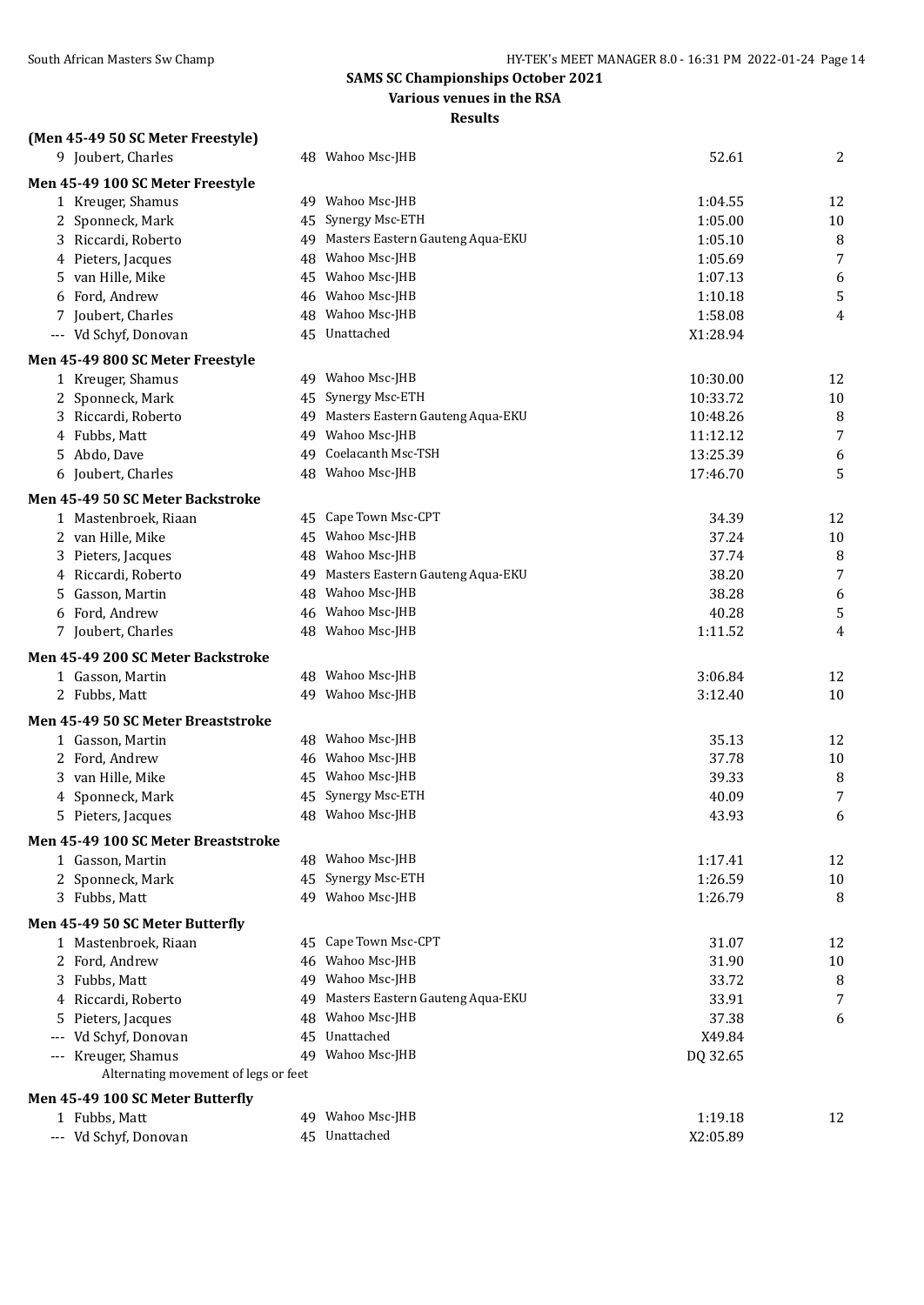## **Various venues in the RSA**

| (Men 45-49 50 SC Meter Freestyle)    |    |                                                         |                     |        |
|--------------------------------------|----|---------------------------------------------------------|---------------------|--------|
| 9 Joubert, Charles                   |    | 48 Wahoo Msc-JHB                                        | 52.61               | 2      |
| Men 45-49 100 SC Meter Freestyle     |    |                                                         |                     |        |
| 1 Kreuger, Shamus                    |    | 49 Wahoo Msc-JHB                                        | 1:04.55             | 12     |
| 2 Sponneck, Mark                     | 45 | Synergy Msc-ETH                                         | 1:05.00             | $10\,$ |
| 3 Riccardi, Roberto                  |    | 49 Masters Eastern Gauteng Aqua-EKU<br>48 Wahoo Msc-JHB | 1:05.10             | 8      |
| 4 Pieters, Jacques                   |    | 45 Wahoo Msc-JHB                                        | 1:05.69             | 7      |
| van Hille, Mike<br>5<br>Ford, Andrew |    | 46 Wahoo Msc-JHB                                        | 1:07.13<br>1:10.18  | 6<br>5 |
| 6                                    |    | Wahoo Msc-JHB                                           |                     |        |
| Joubert, Charles<br>7                | 48 | 45 Unattached                                           | 1:58.08<br>X1:28.94 | 4      |
| --- Vd Schyf, Donovan                |    |                                                         |                     |        |
| Men 45-49 800 SC Meter Freestyle     |    |                                                         |                     |        |
| 1 Kreuger, Shamus                    |    | 49 Wahoo Msc-JHB                                        | 10:30.00            | 12     |
| 2 Sponneck, Mark                     | 45 | Synergy Msc-ETH                                         | 10:33.72            | $10\,$ |
| 3 Riccardi, Roberto                  |    | 49 Masters Eastern Gauteng Aqua-EKU                     | 10:48.26            | 8      |
| 4 Fubbs, Matt                        | 49 | Wahoo Msc-JHB<br>Coelacanth Msc-TSH                     | 11:12.12            | 7      |
| 5 Abdo, Dave                         | 49 | Wahoo Msc-JHB                                           | 13:25.39            | 6      |
| 6 Joubert, Charles                   | 48 |                                                         | 17:46.70            | 5      |
| Men 45-49 50 SC Meter Backstroke     |    |                                                         |                     |        |
| 1 Mastenbroek, Riaan                 |    | 45 Cape Town Msc-CPT                                    | 34.39               | 12     |
| 2 van Hille, Mike                    |    | 45 Wahoo Msc-JHB                                        | 37.24               | $10\,$ |
| Pieters, Jacques<br>3                |    | 48 Wahoo Msc-JHB                                        | 37.74               | 8      |
| Riccardi, Roberto<br>4               |    | 49 Masters Eastern Gauteng Aqua-EKU                     | 38.20               | 7      |
| Gasson, Martin<br>5                  |    | 48 Wahoo Msc-JHB                                        | 38.28               | 6      |
| Ford, Andrew<br>6                    |    | 46 Wahoo Msc-JHB                                        | 40.28               | 5      |
| 7 Joubert, Charles                   |    | 48 Wahoo Msc-JHB                                        | 1:11.52             | 4      |
| Men 45-49 200 SC Meter Backstroke    |    |                                                         |                     |        |
| 1 Gasson, Martin                     |    | 48 Wahoo Msc-JHB                                        | 3:06.84             | 12     |
| 2 Fubbs, Matt                        |    | 49 Wahoo Msc-JHB                                        | 3:12.40             | 10     |
| Men 45-49 50 SC Meter Breaststroke   |    |                                                         |                     |        |
| 1 Gasson, Martin                     |    | 48 Wahoo Msc-JHB                                        | 35.13               | 12     |
| Ford, Andrew<br>2                    |    | 46 Wahoo Msc-JHB                                        | 37.78               | 10     |
| van Hille, Mike<br>3                 |    | 45 Wahoo Msc-JHB                                        | 39.33               | 8      |
| Sponneck, Mark<br>4                  | 45 | Synergy Msc-ETH                                         | 40.09               | 7      |
| 5 Pieters, Jacques                   |    | 48 Wahoo Msc-JHB                                        | 43.93               | 6      |
| Men 45-49 100 SC Meter Breaststroke  |    |                                                         |                     |        |
| 1 Gasson, Martin                     |    | 48 Wahoo Msc-JHB                                        | 1:17.41             | 12     |
| 2 Sponneck, Mark                     |    | 45 Synergy Msc-ETH                                      | 1:26.59             | $10\,$ |
| 3 Fubbs, Matt                        |    | 49 Wahoo Msc-JHB                                        | 1:26.79             | 8      |
| Men 45-49 50 SC Meter Butterfly      |    |                                                         |                     |        |
| 1 Mastenbroek, Riaan                 |    | 45 Cape Town Msc-CPT                                    | 31.07               | 12     |
| 2 Ford, Andrew                       |    | 46 Wahoo Msc-JHB                                        | 31.90               | 10     |
| 3 Fubbs, Matt                        |    | 49 Wahoo Msc-JHB                                        | 33.72               | 8      |
| 4 Riccardi, Roberto                  |    | 49 Masters Eastern Gauteng Aqua-EKU                     | 33.91               | 7      |
| Pieters, Jacques<br>5                |    | 48 Wahoo Msc-JHB                                        | 37.38               | 6      |
| --- Vd Schyf, Donovan                |    | 45 Unattached                                           | X49.84              |        |
| --- Kreuger, Shamus                  |    | 49 Wahoo Msc-JHB                                        | DQ 32.65            |        |
| Alternating movement of legs or feet |    |                                                         |                     |        |
| Men 45-49 100 SC Meter Butterfly     |    |                                                         |                     |        |
| 1 Fubbs, Matt                        |    | 49 Wahoo Msc-JHB                                        | 1:19.18             | 12     |
| --- Vd Schyf, Donovan                |    | 45 Unattached                                           | X2:05.89            |        |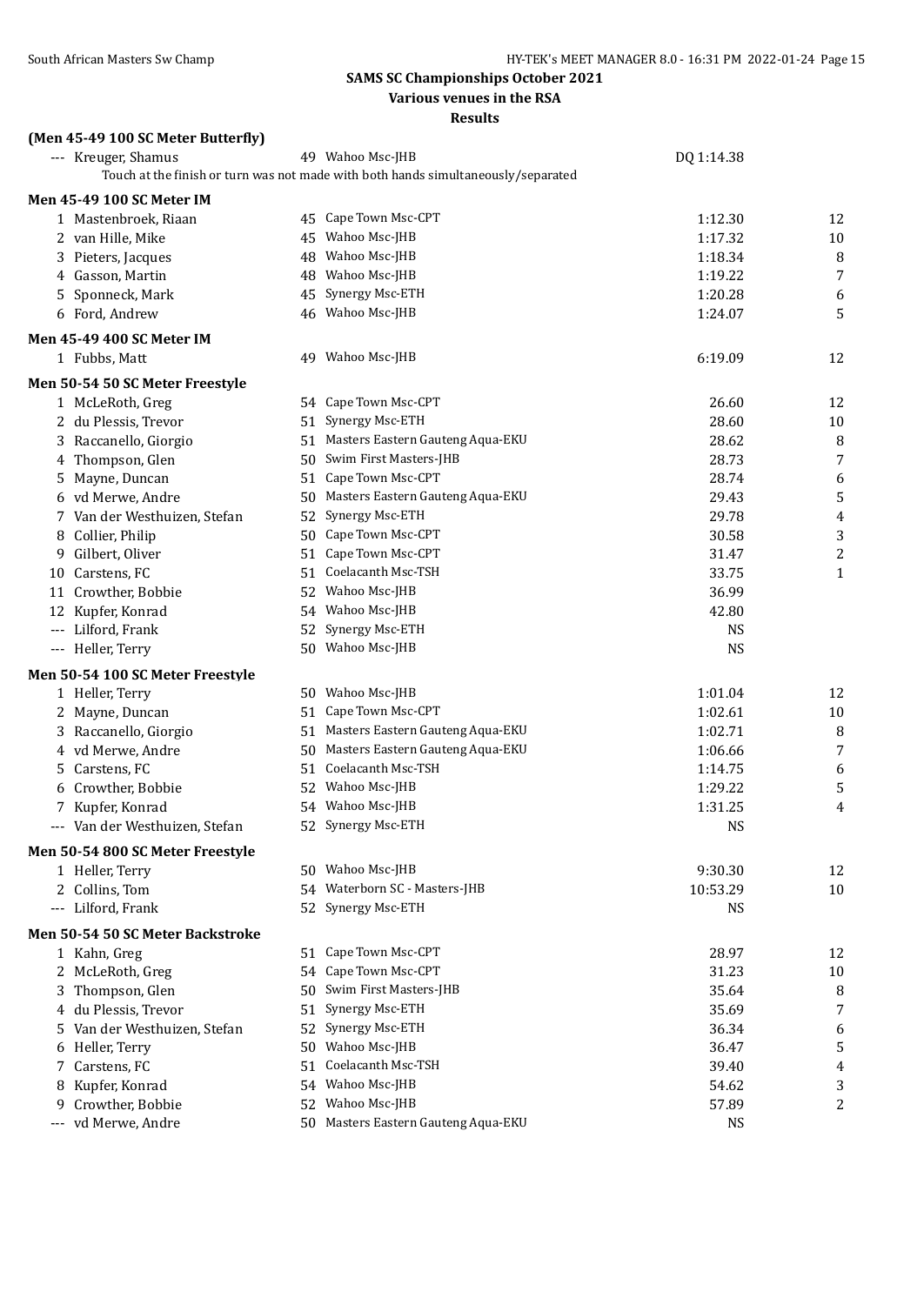**Various venues in the RSA**

| (Men 45-49 100 SC Meter Butterfly)     |                                                                                   |            |                  |
|----------------------------------------|-----------------------------------------------------------------------------------|------------|------------------|
| --- Kreuger, Shamus                    | 49 Wahoo Msc-JHB                                                                  | DQ 1:14.38 |                  |
|                                        | Touch at the finish or turn was not made with both hands simultaneously/separated |            |                  |
| <b>Men 45-49 100 SC Meter IM</b>       |                                                                                   |            |                  |
| 1 Mastenbroek, Riaan                   | 45 Cape Town Msc-CPT                                                              | 1:12.30    | 12               |
| 2 van Hille, Mike                      | 45 Wahoo Msc-JHB                                                                  | 1:17.32    | 10               |
| 3 Pieters, Jacques                     | 48 Wahoo Msc-JHB                                                                  | 1:18.34    | 8                |
| 4 Gasson, Martin                       | 48 Wahoo Msc-JHB                                                                  | 1:19.22    | $\overline{7}$   |
| 5 Sponneck, Mark                       | 45 Synergy Msc-ETH                                                                | 1:20.28    | 6                |
| 6 Ford, Andrew                         | 46 Wahoo Msc-JHB                                                                  | 1:24.07    | 5                |
| <b>Men 45-49 400 SC Meter IM</b>       |                                                                                   |            |                  |
| 1 Fubbs, Matt                          | 49 Wahoo Msc-JHB                                                                  | 6:19.09    | 12               |
| Men 50-54 50 SC Meter Freestyle        |                                                                                   |            |                  |
| 1 McLeRoth, Greg                       | 54 Cape Town Msc-CPT                                                              | 26.60      | 12               |
| 2 du Plessis, Trevor                   | 51 Synergy Msc-ETH                                                                | 28.60      | 10               |
| 3 Raccanello, Giorgio                  | 51 Masters Eastern Gauteng Aqua-EKU                                               | 28.62      | 8                |
| 4 Thompson, Glen                       | 50 Swim First Masters-JHB                                                         | 28.73      | $\overline{7}$   |
| 5 Mayne, Duncan                        | 51 Cape Town Msc-CPT                                                              | 28.74      | 6                |
| 6 vd Merwe, Andre                      | 50 Masters Eastern Gauteng Aqua-EKU                                               | 29.43      | 5                |
| 7 Van der Westhuizen, Stefan           | 52 Synergy Msc-ETH                                                                | 29.78      | 4                |
| 8 Collier, Philip                      | 50 Cape Town Msc-CPT                                                              | 30.58      | $\sqrt{3}$       |
| 9 Gilbert, Oliver                      | 51 Cape Town Msc-CPT                                                              | 31.47      | $\boldsymbol{2}$ |
| 10 Carstens, FC                        | 51 Coelacanth Msc-TSH                                                             | 33.75      | $\mathbf{1}$     |
| 11 Crowther, Bobbie                    | 52 Wahoo Msc-JHB                                                                  | 36.99      |                  |
| 12 Kupfer, Konrad                      | 54 Wahoo Msc-JHB                                                                  | 42.80      |                  |
| --- Lilford, Frank                     | 52 Synergy Msc-ETH                                                                | <b>NS</b>  |                  |
| --- Heller, Terry                      | 50 Wahoo Msc-JHB                                                                  | <b>NS</b>  |                  |
| Men 50-54 100 SC Meter Freestyle       |                                                                                   |            |                  |
| 1 Heller, Terry                        | 50 Wahoo Msc-JHB                                                                  | 1:01.04    | 12               |
| 2 Mayne, Duncan                        | 51 Cape Town Msc-CPT                                                              | 1:02.61    | 10               |
| 3 Raccanello, Giorgio                  | 51 Masters Eastern Gauteng Aqua-EKU                                               | 1:02.71    | 8                |
| 4 vd Merwe, Andre                      | 50 Masters Eastern Gauteng Aqua-EKU                                               | 1:06.66    | $\sqrt{ }$       |
| 5 Carstens, FC                         | 51 Coelacanth Msc-TSH                                                             | 1:14.75    | 6                |
| 6 Crowther, Bobbie                     | 52 Wahoo Msc-JHB                                                                  | 1:29.22    | 5                |
| 7 Kupfer, Konrad                       | 54 Wahoo Msc-JHB                                                                  | 1:31.25    | 4                |
| --- Van der Westhuizen, Stefan         | 52 Synergy Msc-ETH                                                                | <b>NS</b>  |                  |
| Men 50-54 800 SC Meter Freestyle       |                                                                                   |            |                  |
| 1 Heller, Terry                        | 50 Wahoo Msc-JHB                                                                  | 9:30.30    | 12               |
| 2 Collins, Tom                         | 54 Waterborn SC - Masters-JHB                                                     | 10:53.29   | 10               |
| --- Lilford, Frank                     | 52 Synergy Msc-ETH                                                                | <b>NS</b>  |                  |
| Men 50-54 50 SC Meter Backstroke       |                                                                                   |            |                  |
| 1 Kahn, Greg                           | 51 Cape Town Msc-CPT                                                              | 28.97      | 12               |
| 2 McLeRoth, Greg                       | 54 Cape Town Msc-CPT                                                              | 31.23      | $10\,$           |
| 3 Thompson, Glen                       | 50 Swim First Masters-JHB                                                         | 35.64      | 8                |
| 4 du Plessis, Trevor                   | 51 Synergy Msc-ETH                                                                | 35.69      | 7                |
| 5 Van der Westhuizen, Stefan           | 52 Synergy Msc-ETH                                                                | 36.34      | 6                |
| 6 Heller, Terry                        | 50 Wahoo Msc-JHB                                                                  | 36.47      | 5                |
| 7 Carstens, FC                         | 51 Coelacanth Msc-TSH                                                             | 39.40      | 4                |
| 8 Kupfer, Konrad                       | 54 Wahoo Msc-JHB                                                                  | 54.62      | 3                |
| Crowther, Bobbie<br>9                  | 52 Wahoo Msc-JHB                                                                  | 57.89      | 2                |
| vd Merwe, Andre<br>$\qquad \qquad - -$ | 50 Masters Eastern Gauteng Aqua-EKU                                               | <b>NS</b>  |                  |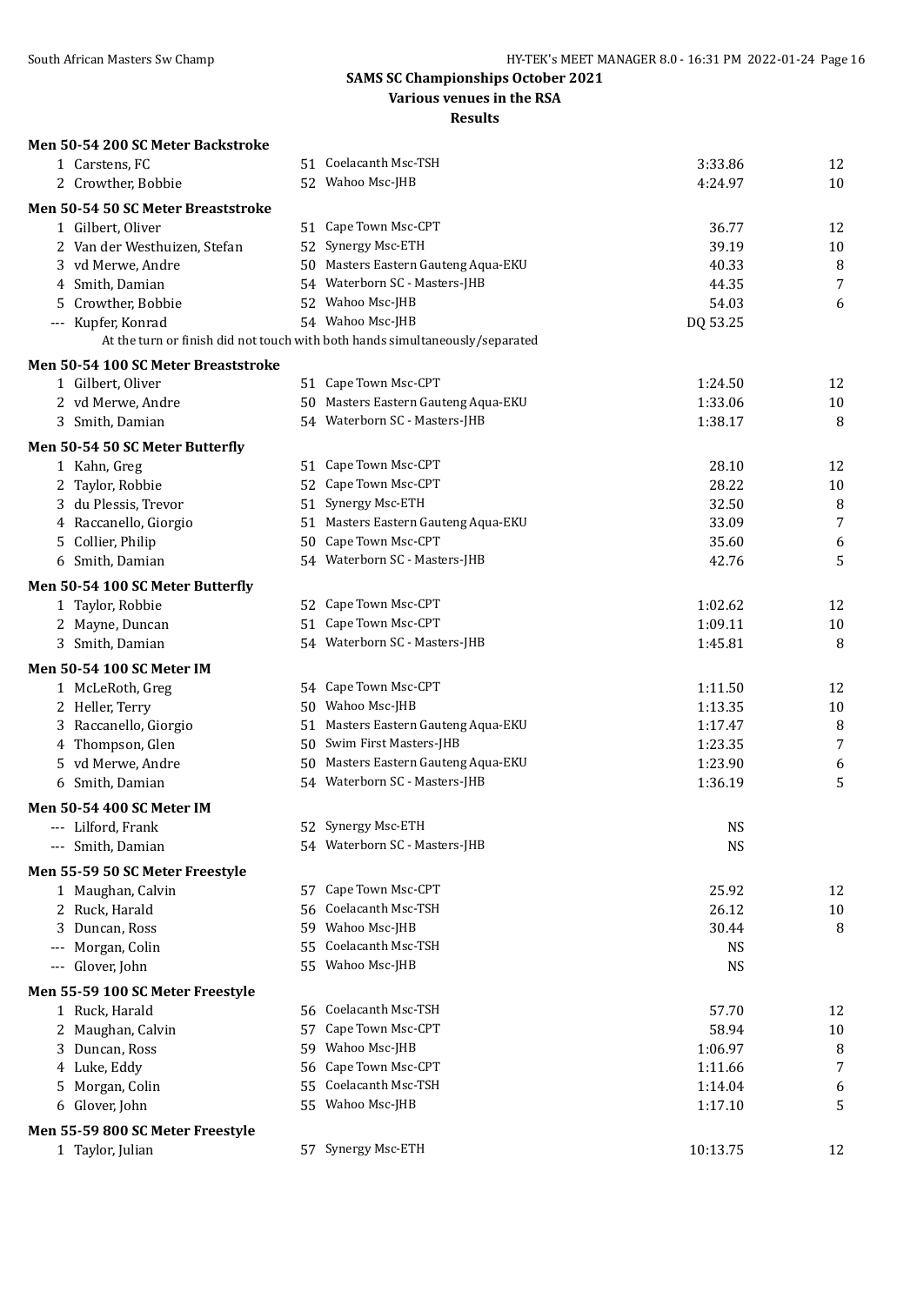## **Various venues in the RSA**

| Men 50-54 200 SC Meter Backstroke                    |     |                                                                              |                    |                |
|------------------------------------------------------|-----|------------------------------------------------------------------------------|--------------------|----------------|
| 1 Carstens, FC                                       |     | 51 Coelacanth Msc-TSH                                                        | 3:33.86            | 12             |
| 2 Crowther, Bobbie                                   |     | 52 Wahoo Msc-JHB                                                             | 4:24.97            | 10             |
| Men 50-54 50 SC Meter Breaststroke                   |     |                                                                              |                    |                |
| 1 Gilbert, Oliver                                    |     | 51 Cape Town Msc-CPT                                                         | 36.77              | 12             |
| 2 Van der Westhuizen, Stefan                         |     | 52 Synergy Msc-ETH                                                           | 39.19              | $10\,$         |
| 3 vd Merwe, Andre                                    |     | 50 Masters Eastern Gauteng Aqua-EKU                                          | 40.33              | 8              |
| 4 Smith, Damian                                      |     | 54 Waterborn SC - Masters-JHB                                                | 44.35              | 7              |
| 5 Crowther, Bobbie                                   |     | 52 Wahoo Msc-JHB                                                             | 54.03              | 6              |
| --- Kupfer, Konrad                                   |     | 54 Wahoo Msc-JHB                                                             | DQ 53.25           |                |
|                                                      |     | At the turn or finish did not touch with both hands simultaneously/separated |                    |                |
| Men 50-54 100 SC Meter Breaststroke                  |     |                                                                              |                    |                |
| 1 Gilbert, Oliver                                    |     | 51 Cape Town Msc-CPT                                                         | 1:24.50            | 12             |
| 2 vd Merwe, Andre                                    |     | 50 Masters Eastern Gauteng Aqua-EKU                                          | 1:33.06            | $10\,$         |
| 3 Smith, Damian                                      |     | 54 Waterborn SC - Masters-JHB                                                | 1:38.17            | 8              |
| Men 50-54 50 SC Meter Butterfly                      |     |                                                                              |                    |                |
| 1 Kahn, Greg                                         |     | 51 Cape Town Msc-CPT                                                         | 28.10              | 12             |
| 2 Taylor, Robbie                                     |     | 52 Cape Town Msc-CPT                                                         | 28.22              | 10             |
| 3 du Plessis, Trevor                                 |     | 51 Synergy Msc-ETH                                                           | 32.50              | 8              |
| 4 Raccanello, Giorgio                                |     | 51 Masters Eastern Gauteng Aqua-EKU                                          | 33.09              | $\overline{7}$ |
| 5 Collier, Philip                                    |     | 50 Cape Town Msc-CPT                                                         | 35.60              | 6              |
| 6 Smith, Damian                                      |     | 54 Waterborn SC - Masters-JHB                                                | 42.76              | 5              |
|                                                      |     |                                                                              |                    |                |
| Men 50-54 100 SC Meter Butterfly<br>1 Taylor, Robbie |     | 52 Cape Town Msc-CPT                                                         | 1:02.62            | 12             |
| 2 Mayne, Duncan                                      |     | 51 Cape Town Msc-CPT                                                         | 1:09.11            | 10             |
| 3 Smith, Damian                                      |     | 54 Waterborn SC - Masters-JHB                                                | 1:45.81            | 8              |
|                                                      |     |                                                                              |                    |                |
| <b>Men 50-54 100 SC Meter IM</b>                     |     |                                                                              |                    |                |
| 1 McLeRoth, Greg                                     |     | 54 Cape Town Msc-CPT                                                         | 1:11.50            | 12             |
| 2 Heller, Terry                                      |     | 50 Wahoo Msc-JHB                                                             | 1:13.35            | 10             |
| 3 Raccanello, Giorgio                                |     | 51 Masters Eastern Gauteng Aqua-EKU<br>50 Swim First Masters-JHB             | 1:17.47            | 8<br>7         |
| 4 Thompson, Glen                                     |     | 50 Masters Eastern Gauteng Aqua-EKU                                          | 1:23.35            |                |
| 5 vd Merwe, Andre<br>6 Smith, Damian                 |     | 54 Waterborn SC - Masters-JHB                                                | 1:23.90<br>1:36.19 | 6<br>5         |
|                                                      |     |                                                                              |                    |                |
| Men 50-54 400 SC Meter IM                            |     |                                                                              |                    |                |
| --- Lilford, Frank                                   |     | 52 Synergy Msc-ETH                                                           | <b>NS</b>          |                |
| --- Smith, Damian                                    |     | 54 Waterborn SC - Masters-JHB                                                | <b>NS</b>          |                |
| Men 55-59 50 SC Meter Freestyle                      |     |                                                                              |                    |                |
| 1 Maughan, Calvin                                    |     | 57 Cape Town Msc-CPT                                                         | 25.92              | 12             |
| 2 Ruck, Harald                                       |     | 56 Coelacanth Msc-TSH                                                        | 26.12              | $10\,$         |
| Duncan, Ross<br>3                                    |     | 59 Wahoo Msc-JHB                                                             | 30.44              | 8              |
| Morgan, Colin                                        |     | 55 Coelacanth Msc-TSH                                                        | <b>NS</b>          |                |
| --- Glover, John                                     |     | 55 Wahoo Msc-JHB                                                             | <b>NS</b>          |                |
| Men 55-59 100 SC Meter Freestyle                     |     |                                                                              |                    |                |
| 1 Ruck, Harald                                       |     | 56 Coelacanth Msc-TSH                                                        | 57.70              | 12             |
| 2 Maughan, Calvin                                    | 57  | Cape Town Msc-CPT                                                            | 58.94              | $10\,$         |
| 3 Duncan, Ross                                       | 59. | Wahoo Msc-JHB                                                                | 1:06.97            | 8              |
| 4 Luke, Eddy                                         | 56  | Cape Town Msc-CPT                                                            | 1:11.66            | 7              |
| 5 Morgan, Colin                                      |     | 55 Coelacanth Msc-TSH                                                        | 1:14.04            | 6              |
| 6 Glover, John                                       |     | 55 Wahoo Msc-JHB                                                             | 1:17.10            | 5              |
| Men 55-59 800 SC Meter Freestyle                     |     |                                                                              |                    |                |
| 1 Taylor, Julian                                     |     | 57 Synergy Msc-ETH                                                           | 10:13.75           | 12             |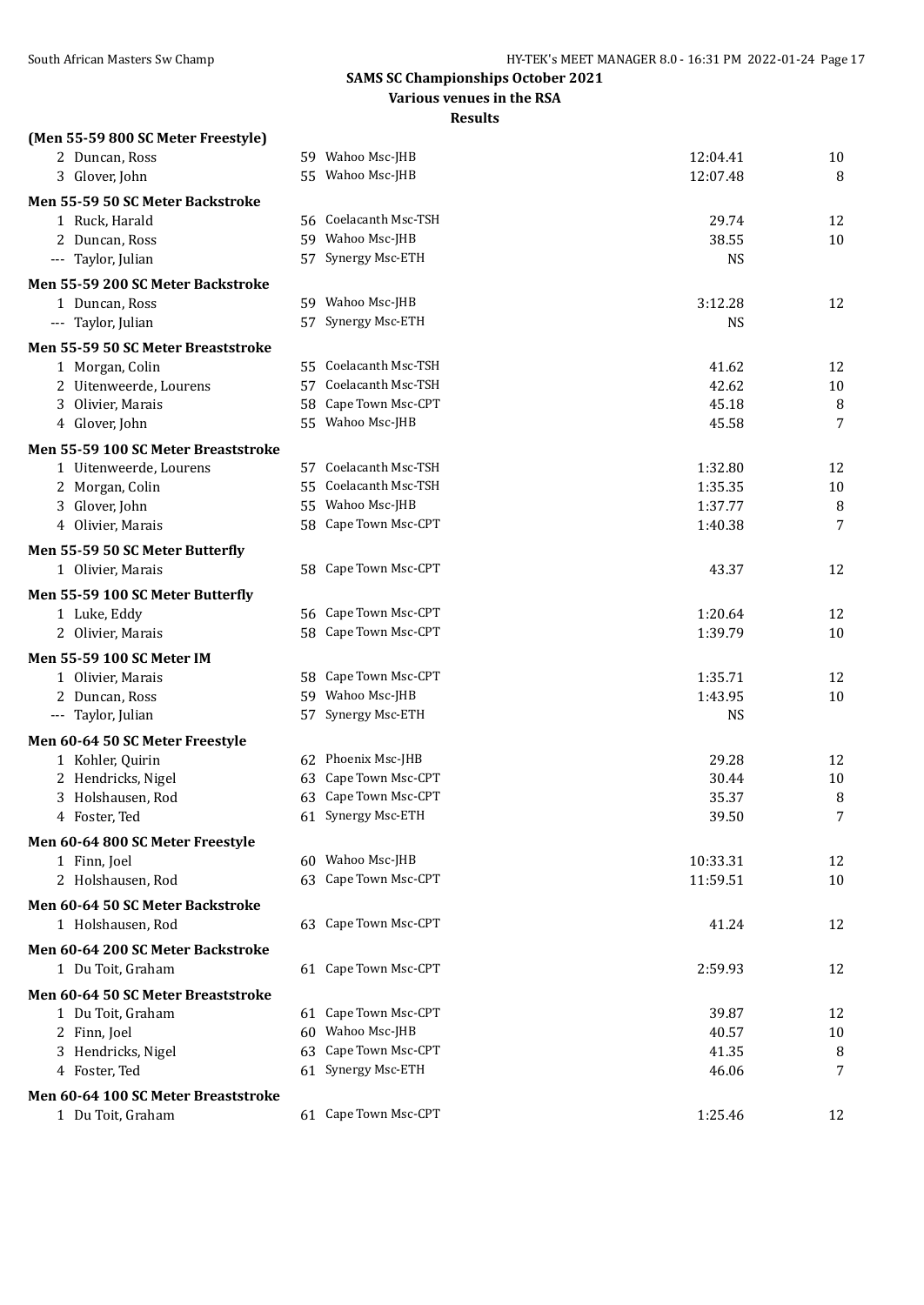**Various venues in the RSA**

| (Men 55-59 800 SC Meter Freestyle)  |     |                                              |           |        |
|-------------------------------------|-----|----------------------------------------------|-----------|--------|
| 2 Duncan, Ross                      |     | 59 Wahoo Msc-JHB                             | 12:04.41  | 10     |
| 3 Glover, John                      |     | 55 Wahoo Msc-JHB                             | 12:07.48  | 8      |
| Men 55-59 50 SC Meter Backstroke    |     |                                              |           |        |
| 1 Ruck, Harald                      |     | 56 Coelacanth Msc-TSH                        | 29.74     | 12     |
| 2 Duncan, Ross                      |     | 59 Wahoo Msc-JHB                             | 38.55     | 10     |
| --- Taylor, Julian                  |     | 57 Synergy Msc-ETH                           | <b>NS</b> |        |
| Men 55-59 200 SC Meter Backstroke   |     |                                              |           |        |
| 1 Duncan, Ross                      |     | 59 Wahoo Msc-JHB                             | 3:12.28   | 12     |
| --- Taylor, Julian                  |     | 57 Synergy Msc-ETH                           | <b>NS</b> |        |
| Men 55-59 50 SC Meter Breaststroke  |     |                                              |           |        |
| 1 Morgan, Colin                     |     | 55 Coelacanth Msc-TSH                        | 41.62     | 12     |
| 2 Uitenweerde, Lourens              |     | 57 Coelacanth Msc-TSH                        | 42.62     | $10\,$ |
| 3 Olivier, Marais                   |     | 58 Cape Town Msc-CPT                         | 45.18     | 8      |
| 4 Glover, John                      |     | 55 Wahoo Msc-JHB                             | 45.58     | 7      |
| Men 55-59 100 SC Meter Breaststroke |     |                                              |           |        |
| 1 Uitenweerde, Lourens              |     | 57 Coelacanth Msc-TSH                        | 1:32.80   | 12     |
| 2 Morgan, Colin                     | 55. | Coelacanth Msc-TSH                           | 1:35.35   | 10     |
| 3 Glover, John                      |     | 55 Wahoo Msc-JHB                             | 1:37.77   | 8      |
| 4 Olivier, Marais                   |     | 58 Cape Town Msc-CPT                         | 1:40.38   | 7      |
| Men 55-59 50 SC Meter Butterfly     |     |                                              |           |        |
| 1 Olivier, Marais                   |     | 58 Cape Town Msc-CPT                         | 43.37     | 12     |
|                                     |     |                                              |           |        |
| Men 55-59 100 SC Meter Butterfly    |     |                                              |           |        |
| 1 Luke, Eddy                        |     | 56 Cape Town Msc-CPT<br>58 Cape Town Msc-CPT | 1:20.64   | 12     |
| 2 Olivier, Marais                   |     |                                              | 1:39.79   | 10     |
| Men 55-59 100 SC Meter IM           |     |                                              |           |        |
| 1 Olivier, Marais                   | 58  | Cape Town Msc-CPT                            | 1:35.71   | 12     |
| 2 Duncan, Ross                      |     | 59 Wahoo Msc-JHB                             | 1:43.95   | 10     |
| --- Taylor, Julian                  |     | 57 Synergy Msc-ETH                           | <b>NS</b> |        |
| Men 60-64 50 SC Meter Freestyle     |     |                                              |           |        |
| 1 Kohler, Quirin                    |     | 62 Phoenix Msc-JHB                           | 29.28     | 12     |
| 2 Hendricks, Nigel                  | 63  | Cape Town Msc-CPT                            | 30.44     | 10     |
| 3 Holshausen, Rod                   | 63  | Cape Town Msc-CPT                            | 35.37     | 8      |
| 4 Foster, Ted                       |     | 61 Synergy Msc-ETH                           | 39.50     | 7      |
| Men 60-64 800 SC Meter Freestyle    |     |                                              |           |        |
| 1 Finn, Joel                        |     | 60 Wahoo Msc-JHB                             | 10:33.31  | 12     |
| 2 Holshausen, Rod                   |     | 63 Cape Town Msc-CPT                         | 11:59.51  | 10     |
| Men 60-64 50 SC Meter Backstroke    |     |                                              |           |        |
| 1 Holshausen, Rod                   |     | 63 Cape Town Msc-CPT                         | 41.24     | 12     |
| Men 60-64 200 SC Meter Backstroke   |     |                                              |           |        |
| 1 Du Toit, Graham                   |     | 61 Cape Town Msc-CPT                         | 2:59.93   | 12     |
| Men 60-64 50 SC Meter Breaststroke  |     |                                              |           |        |
| 1 Du Toit, Graham                   |     | 61 Cape Town Msc-CPT                         | 39.87     | 12     |
| 2 Finn, Joel                        |     | 60 Wahoo Msc-JHB                             | 40.57     | 10     |
| 3 Hendricks, Nigel                  |     | 63 Cape Town Msc-CPT                         | 41.35     | 8      |
| 4 Foster, Ted                       |     | 61 Synergy Msc-ETH                           | 46.06     | 7      |
| Men 60-64 100 SC Meter Breaststroke |     |                                              |           |        |
| 1 Du Toit, Graham                   |     | 61 Cape Town Msc-CPT                         | 1:25.46   | 12     |
|                                     |     |                                              |           |        |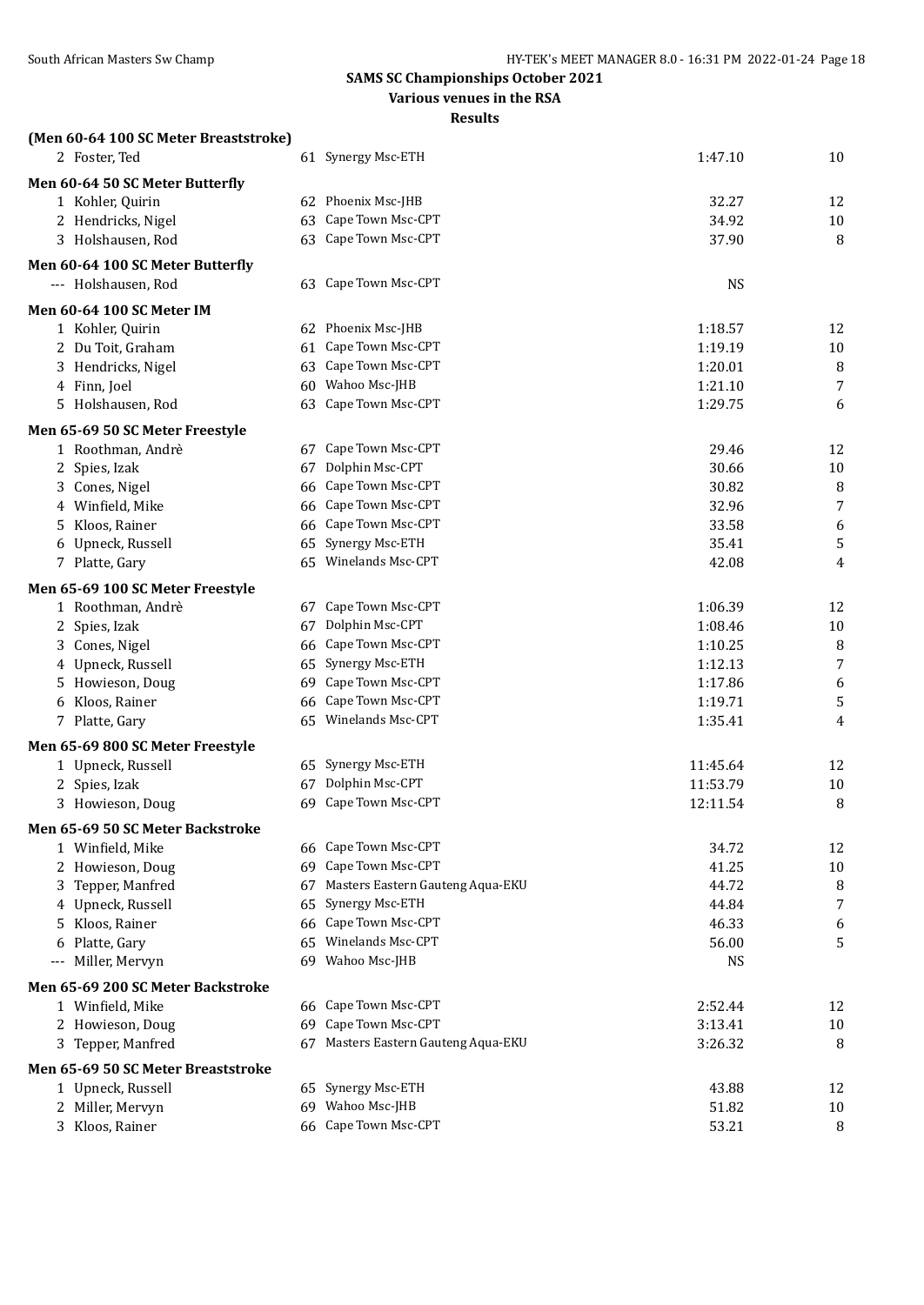**Various venues in the RSA**

| (Men 60-64 100 SC Meter Breaststroke) |    |                                     |           |                |
|---------------------------------------|----|-------------------------------------|-----------|----------------|
| 2 Foster, Ted                         |    | 61 Synergy Msc-ETH                  | 1:47.10   | 10             |
| Men 60-64 50 SC Meter Butterfly       |    |                                     |           |                |
| 1 Kohler, Quirin                      |    | 62 Phoenix Msc-JHB                  | 32.27     | 12             |
| 2 Hendricks, Nigel                    |    | 63 Cape Town Msc-CPT                | 34.92     | 10             |
| 3 Holshausen, Rod                     |    | 63 Cape Town Msc-CPT                | 37.90     | 8              |
| Men 60-64 100 SC Meter Butterfly      |    |                                     |           |                |
| --- Holshausen, Rod                   |    | 63 Cape Town Msc-CPT                | <b>NS</b> |                |
| <b>Men 60-64 100 SC Meter IM</b>      |    |                                     |           |                |
| 1 Kohler, Quirin                      |    | 62 Phoenix Msc-JHB                  | 1:18.57   | 12             |
| 2 Du Toit, Graham                     |    | 61 Cape Town Msc-CPT                | 1:19.19   | 10             |
| 3 Hendricks, Nigel                    | 63 | Cape Town Msc-CPT                   | 1:20.01   | 8              |
| 4 Finn, Joel                          |    | 60 Wahoo Msc-JHB                    | 1:21.10   | 7              |
| 5 Holshausen, Rod                     |    | 63 Cape Town Msc-CPT                | 1:29.75   | 6              |
| Men 65-69 50 SC Meter Freestyle       |    |                                     |           |                |
| 1 Roothman, Andrè                     |    | 67 Cape Town Msc-CPT                | 29.46     | 12             |
| 2 Spies, Izak                         | 67 | Dolphin Msc-CPT                     | 30.66     | 10             |
| 3 Cones, Nigel                        | 66 | Cape Town Msc-CPT                   | 30.82     | 8              |
| 4 Winfield, Mike                      | 66 | Cape Town Msc-CPT                   | 32.96     | $\overline{7}$ |
| 5 Kloos, Rainer                       | 66 | Cape Town Msc-CPT                   | 33.58     | 6              |
| 6 Upneck, Russell                     |    | 65 Synergy Msc-ETH                  | 35.41     | 5              |
| 7 Platte, Gary                        |    | 65 Winelands Msc-CPT                | 42.08     | 4              |
| Men 65-69 100 SC Meter Freestyle      |    |                                     |           |                |
| 1 Roothman, Andrè                     |    | 67 Cape Town Msc-CPT                | 1:06.39   | 12             |
| 2 Spies, Izak                         | 67 | Dolphin Msc-CPT                     | 1:08.46   | 10             |
| 3 Cones, Nigel                        |    | 66 Cape Town Msc-CPT                | 1:10.25   | 8              |
| 4 Upneck, Russell                     |    | 65 Synergy Msc-ETH                  | 1:12.13   | $\overline{7}$ |
| 5 Howieson, Doug                      | 69 | Cape Town Msc-CPT                   | 1:17.86   | 6              |
| 6 Kloos, Rainer                       | 66 | Cape Town Msc-CPT                   | 1:19.71   | 5              |
| 7 Platte, Gary                        |    | 65 Winelands Msc-CPT                | 1:35.41   | 4              |
| Men 65-69 800 SC Meter Freestyle      |    |                                     |           |                |
| 1 Upneck, Russell                     |    | 65 Synergy Msc-ETH                  | 11:45.64  | 12             |
| 2 Spies, Izak                         | 67 | Dolphin Msc-CPT                     | 11:53.79  | 10             |
| 3 Howieson, Doug                      |    | 69 Cape Town Msc-CPT                | 12:11.54  | 8              |
| Men 65-69 50 SC Meter Backstroke      |    |                                     |           |                |
| 1 Winfield, Mike                      |    | 66 Cape Town Msc-CPT                | 34.72     | 12             |
| 2 Howieson, Doug                      |    | 69 Cape Town Msc-CPT                | 41.25     | 10             |
| 3 Tepper, Manfred                     | 67 | Masters Eastern Gauteng Aqua-EKU    | 44.72     | 8              |
| 4 Upneck, Russell                     |    | 65 Synergy Msc-ETH                  | 44.84     | 7              |
| 5 Kloos, Rainer                       |    | 66 Cape Town Msc-CPT                | 46.33     | 6              |
| 6 Platte, Gary                        |    | 65 Winelands Msc-CPT                | 56.00     | 5              |
| --- Miller, Mervyn                    |    | 69 Wahoo Msc-JHB                    | <b>NS</b> |                |
| Men 65-69 200 SC Meter Backstroke     |    |                                     |           |                |
| 1 Winfield, Mike                      |    | 66 Cape Town Msc-CPT                | 2:52.44   | 12             |
| 2 Howieson, Doug                      |    | 69 Cape Town Msc-CPT                | 3:13.41   | 10             |
| 3 Tepper, Manfred                     |    | 67 Masters Eastern Gauteng Aqua-EKU | 3:26.32   | 8              |
| Men 65-69 50 SC Meter Breaststroke    |    |                                     |           |                |
| 1 Upneck, Russell                     |    | 65 Synergy Msc-ETH                  | 43.88     | 12             |
| 2 Miller, Mervyn                      |    | 69 Wahoo Msc-JHB                    | 51.82     | 10             |
| 3 Kloos, Rainer                       |    | 66 Cape Town Msc-CPT                | 53.21     | 8              |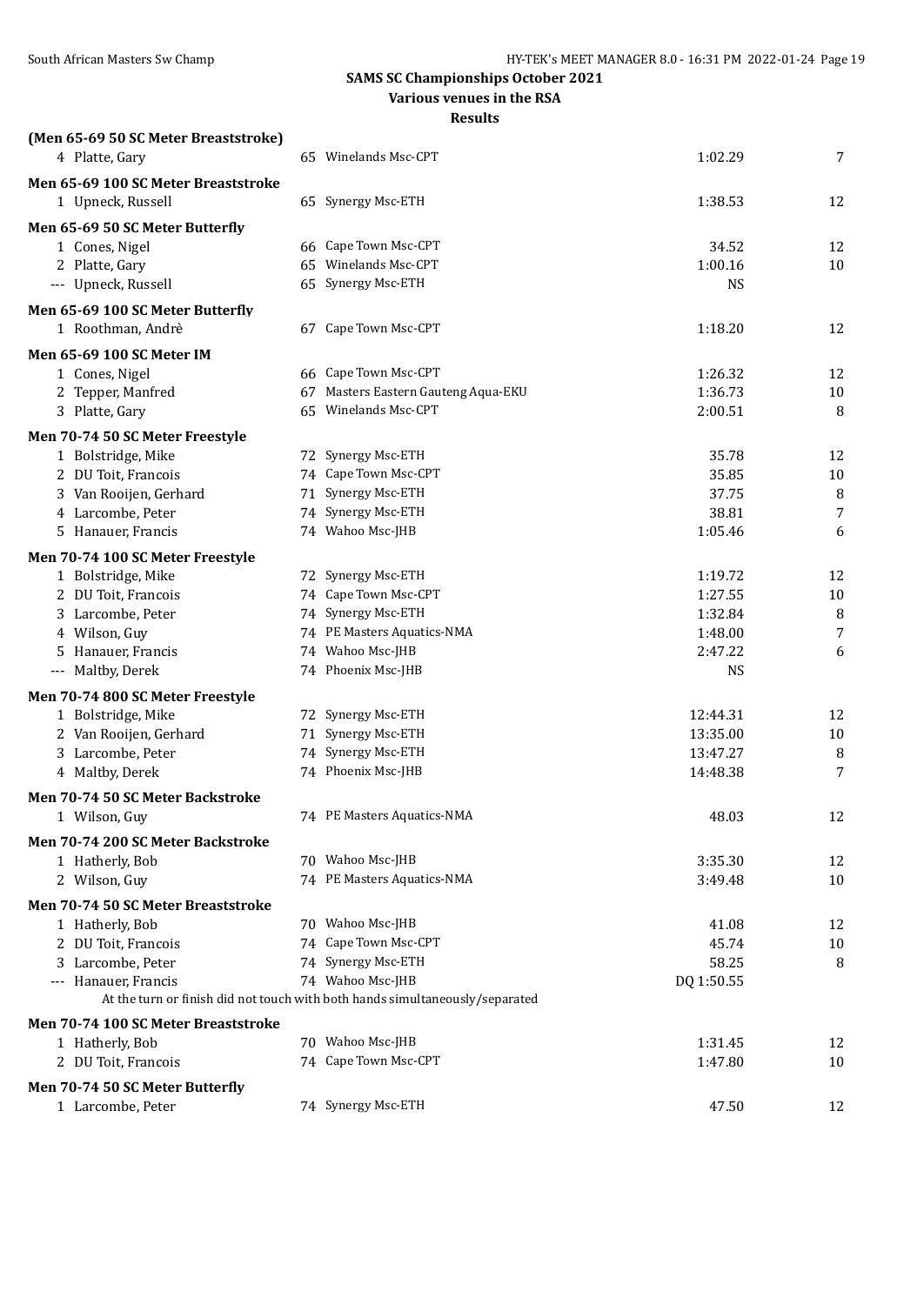#### **Various venues in the RSA**

| (Men 65-69 50 SC Meter Breaststroke) |                                                                                                  |            |    |
|--------------------------------------|--------------------------------------------------------------------------------------------------|------------|----|
| 4 Platte, Gary                       | 65 Winelands Msc-CPT                                                                             | 1:02.29    | 7  |
| Men 65-69 100 SC Meter Breaststroke  |                                                                                                  |            |    |
| 1 Upneck, Russell                    | 65 Synergy Msc-ETH                                                                               | 1:38.53    | 12 |
|                                      |                                                                                                  |            |    |
| Men 65-69 50 SC Meter Butterfly      |                                                                                                  |            |    |
| 1 Cones, Nigel                       | 66 Cape Town Msc-CPT<br>65 Winelands Msc-CPT                                                     | 34.52      | 12 |
| 2 Platte, Gary                       |                                                                                                  | 1:00.16    | 10 |
| --- Upneck, Russell                  | 65 Synergy Msc-ETH                                                                               | <b>NS</b>  |    |
| Men 65-69 100 SC Meter Butterfly     |                                                                                                  |            |    |
| 1 Roothman, Andrè                    | 67 Cape Town Msc-CPT                                                                             | 1:18.20    | 12 |
| Men 65-69 100 SC Meter IM            |                                                                                                  |            |    |
| 1 Cones, Nigel                       | 66 Cape Town Msc-CPT                                                                             | 1:26.32    | 12 |
| 2 Tepper, Manfred                    | 67 Masters Eastern Gauteng Aqua-EKU                                                              | 1:36.73    | 10 |
| 3 Platte, Gary                       | 65 Winelands Msc-CPT                                                                             | 2:00.51    | 8  |
| Men 70-74 50 SC Meter Freestyle      |                                                                                                  |            |    |
| 1 Bolstridge, Mike                   | 72 Synergy Msc-ETH                                                                               | 35.78      | 12 |
| 2 DU Toit, Francois                  | 74 Cape Town Msc-CPT                                                                             | 35.85      | 10 |
| 3 Van Rooijen, Gerhard               | 71 Synergy Msc-ETH                                                                               | 37.75      | 8  |
| 4 Larcombe, Peter                    | 74 Synergy Msc-ETH                                                                               | 38.81      | 7  |
| 5 Hanauer, Francis                   | 74 Wahoo Msc-JHB                                                                                 | 1:05.46    | 6  |
|                                      |                                                                                                  |            |    |
| Men 70-74 100 SC Meter Freestyle     |                                                                                                  |            |    |
| 1 Bolstridge, Mike                   | 72 Synergy Msc-ETH                                                                               | 1:19.72    | 12 |
| 2 DU Toit, Francois                  | 74 Cape Town Msc-CPT                                                                             | 1:27.55    | 10 |
| 3 Larcombe, Peter                    | 74 Synergy Msc-ETH                                                                               | 1:32.84    | 8  |
| 4 Wilson, Guy                        | 74 PE Masters Aquatics-NMA                                                                       | 1:48.00    | 7  |
| 5 Hanauer, Francis                   | 74 Wahoo Msc-JHB                                                                                 | 2:47.22    | 6  |
| --- Maltby, Derek                    | 74 Phoenix Msc-JHB                                                                               | <b>NS</b>  |    |
| Men 70-74 800 SC Meter Freestyle     |                                                                                                  |            |    |
| 1 Bolstridge, Mike                   | 72 Synergy Msc-ETH                                                                               | 12:44.31   | 12 |
| 2 Van Rooijen, Gerhard               | 71 Synergy Msc-ETH                                                                               | 13:35.00   | 10 |
| 3 Larcombe, Peter                    | 74 Synergy Msc-ETH                                                                               | 13:47.27   | 8  |
| 4 Maltby, Derek                      | 74 Phoenix Msc-JHB                                                                               | 14:48.38   | 7  |
| Men 70-74 50 SC Meter Backstroke     |                                                                                                  |            |    |
| 1 Wilson, Guy                        | 74 PE Masters Aquatics-NMA                                                                       | 48.03      | 12 |
| Men 70-74 200 SC Meter Backstroke    |                                                                                                  |            |    |
| 1 Hatherly, Bob                      | 70 Wahoo Msc-JHB                                                                                 | 3:35.30    | 12 |
| 2 Wilson, Guy                        | 74 PE Masters Aquatics-NMA                                                                       | 3:49.48    | 10 |
|                                      |                                                                                                  |            |    |
| Men 70-74 50 SC Meter Breaststroke   |                                                                                                  |            |    |
| 1 Hatherly, Bob                      | 70 Wahoo Msc-JHB                                                                                 | 41.08      | 12 |
| 2 DU Toit, Francois                  | 74 Cape Town Msc-CPT                                                                             | 45.74      | 10 |
| 3 Larcombe, Peter                    | 74 Synergy Msc-ETH                                                                               | 58.25      | 8  |
| --- Hanauer, Francis                 | 74 Wahoo Msc-JHB<br>At the turn or finish did not touch with both hands simultaneously/separated | DQ 1:50.55 |    |
|                                      |                                                                                                  |            |    |
| Men 70-74 100 SC Meter Breaststroke  |                                                                                                  |            |    |
| 1 Hatherly, Bob                      | 70 Wahoo Msc-JHB                                                                                 | 1:31.45    | 12 |
| 2 DU Toit, Francois                  | 74 Cape Town Msc-CPT                                                                             | 1:47.80    | 10 |
| Men 70-74 50 SC Meter Butterfly      |                                                                                                  |            |    |
| 1 Larcombe, Peter                    | 74 Synergy Msc-ETH                                                                               | 47.50      | 12 |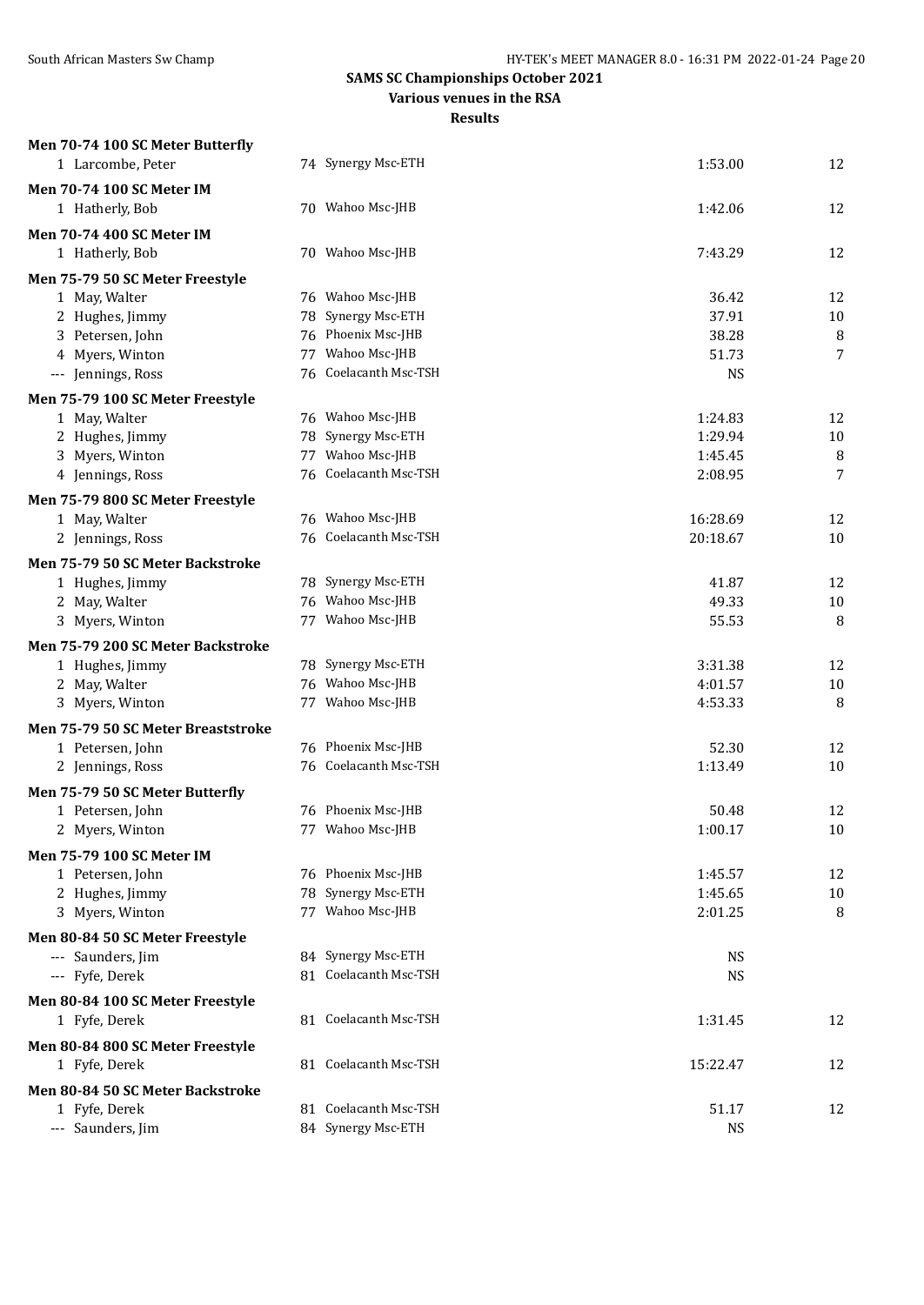**Various venues in the RSA**

| Men 70-74 100 SC Meter Butterfly                     |    |                                             |                    |             |
|------------------------------------------------------|----|---------------------------------------------|--------------------|-------------|
| 1 Larcombe, Peter                                    |    | 74 Synergy Msc-ETH                          | 1:53.00            | 12          |
| <b>Men 70-74 100 SC Meter IM</b>                     |    |                                             |                    |             |
| 1 Hatherly, Bob                                      |    | 70 Wahoo Msc-JHB                            | 1:42.06            | 12          |
| <b>Men 70-74 400 SC Meter IM</b>                     |    |                                             |                    |             |
| 1 Hatherly, Bob                                      |    | 70 Wahoo Msc-JHB                            | 7:43.29            | 12          |
|                                                      |    |                                             |                    |             |
| Men 75-79 50 SC Meter Freestyle                      |    | 76 Wahoo Msc-JHB                            | 36.42              | 12          |
| 1 May, Walter<br>2 Hughes, Jimmy                     |    | 78 Synergy Msc-ETH                          | 37.91              | $10\,$      |
| 3 Petersen, John                                     |    | 76 Phoenix Msc-JHB                          | 38.28              | 8           |
| 4 Myers, Winton                                      |    | 77 Wahoo Msc-JHB                            | 51.73              | 7           |
| --- Jennings, Ross                                   |    | 76 Coelacanth Msc-TSH                       | <b>NS</b>          |             |
|                                                      |    |                                             |                    |             |
| Men 75-79 100 SC Meter Freestyle                     |    |                                             |                    |             |
| 1 May, Walter                                        |    | 76 Wahoo Msc-JHB<br>78 Synergy Msc-ETH      | 1:24.83            | 12          |
| 2 Hughes, Jimmy<br>3 Myers, Winton                   |    | 77 Wahoo Msc-JHB                            | 1:29.94<br>1:45.45 | $10\,$<br>8 |
| 4 Jennings, Ross                                     |    | 76 Coelacanth Msc-TSH                       | 2:08.95            | 7           |
|                                                      |    |                                             |                    |             |
| Men 75-79 800 SC Meter Freestyle                     |    |                                             |                    |             |
| 1 May, Walter                                        |    | 76 Wahoo Msc-JHB                            | 16:28.69           | 12          |
| 2 Jennings, Ross                                     |    | 76 Coelacanth Msc-TSH                       | 20:18.67           | 10          |
| Men 75-79 50 SC Meter Backstroke                     |    |                                             |                    |             |
| 1 Hughes, Jimmy                                      |    | 78 Synergy Msc-ETH                          | 41.87              | 12          |
| 2 May, Walter                                        |    | 76 Wahoo Msc-JHB                            | 49.33              | 10          |
| 3 Myers, Winton                                      | 77 | Wahoo Msc-JHB                               | 55.53              | 8           |
| Men 75-79 200 SC Meter Backstroke                    |    |                                             |                    |             |
| 1 Hughes, Jimmy                                      |    | 78 Synergy Msc-ETH                          | 3:31.38            | 12          |
| 2 May, Walter                                        |    | 76 Wahoo Msc-JHB                            | 4:01.57            | 10          |
| 3 Myers, Winton                                      |    | 77 Wahoo Msc-JHB                            | 4:53.33            | 8           |
| Men 75-79 50 SC Meter Breaststroke                   |    |                                             |                    |             |
| 1 Petersen, John                                     |    | 76 Phoenix Msc-JHB                          | 52.30              | 12          |
| 2 Jennings, Ross                                     |    | 76 Coelacanth Msc-TSH                       | 1:13.49            | 10          |
| Men 75-79 50 SC Meter Butterfly                      |    |                                             |                    |             |
| 1 Petersen, John                                     |    | 76 Phoenix Msc-JHB                          | 50.48              | 12          |
| 2 Myers, Winton                                      |    | 77 Wahoo Msc-JHB                            | 1:00.17            | 10          |
|                                                      |    |                                             |                    |             |
| <b>Men 75-79 100 SC Meter IM</b><br>1 Petersen, John |    | 76 Phoenix Msc-JHB                          |                    | 12          |
| 2 Hughes, Jimmy                                      |    | 78 Synergy Msc-ETH                          | 1:45.57<br>1:45.65 | $10\,$      |
| 3 Myers, Winton                                      |    | 77 Wahoo Msc-JHB                            | 2:01.25            | 8           |
|                                                      |    |                                             |                    |             |
| Men 80-84 50 SC Meter Freestyle                      |    |                                             |                    |             |
| --- Saunders, Jim                                    |    | 84 Synergy Msc-ETH<br>81 Coelacanth Msc-TSH | <b>NS</b>          |             |
| --- Fyfe, Derek                                      |    |                                             | <b>NS</b>          |             |
| Men 80-84 100 SC Meter Freestyle                     |    |                                             |                    |             |
| 1 Fyfe, Derek                                        |    | 81 Coelacanth Msc-TSH                       | 1:31.45            | 12          |
| Men 80-84 800 SC Meter Freestyle                     |    |                                             |                    |             |
| 1 Fyfe, Derek                                        |    | 81 Coelacanth Msc-TSH                       | 15:22.47           | 12          |
| Men 80-84 50 SC Meter Backstroke                     |    |                                             |                    |             |
| 1 Fyfe, Derek                                        |    | 81 Coelacanth Msc-TSH                       | 51.17              | 12          |
| --- Saunders, Jim                                    |    | 84 Synergy Msc-ETH                          | <b>NS</b>          |             |
|                                                      |    |                                             |                    |             |